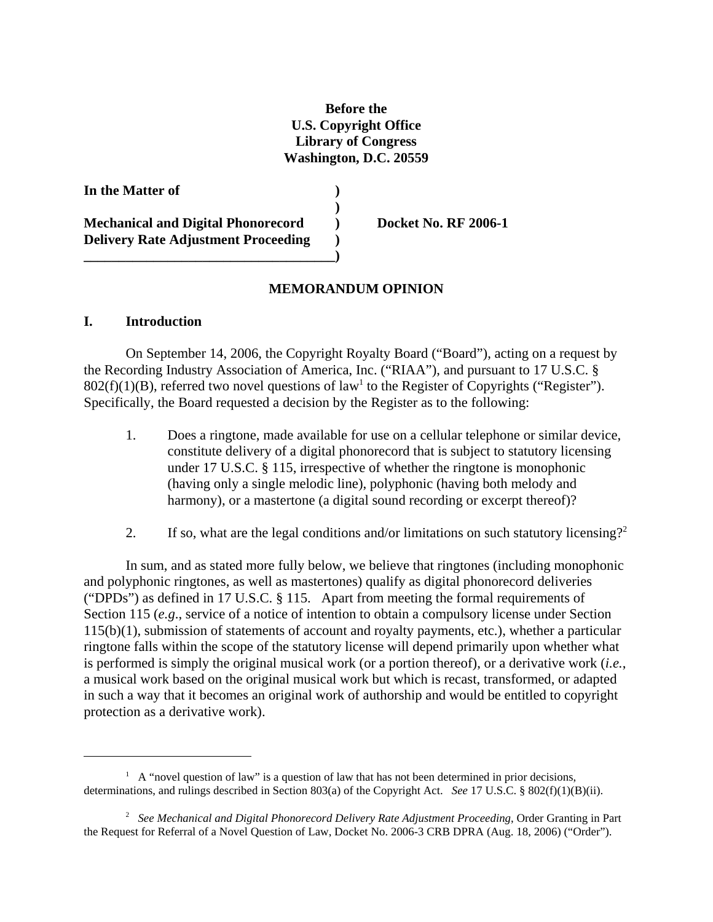**Before the U.S. Copyright Office Library of Congress Washington, D.C. 20559**

**In the Matter of )**

**Mechanical and Digital Phonorecord ) Docket No. RF 2006-1 Delivery Rate Adjustment Proceeding ) \_\_\_\_\_\_\_\_\_\_\_\_\_\_\_\_\_\_\_\_\_\_\_\_\_\_\_\_\_\_\_\_\_\_\_\_)**

## **MEMORANDUM OPINION**

**)**

### **I. Introduction**

On September 14, 2006, the Copyright Royalty Board ("Board"), acting on a request by the Recording Industry Association of America, Inc. ("RIAA"), and pursuant to 17 U.S.C. §  $802(f)(1)(B)$ , referred two novel questions of law<sup>1</sup> to the Register of Copyrights ("Register"). Specifically, the Board requested a decision by the Register as to the following:

- 1. Does a ringtone, made available for use on a cellular telephone or similar device, constitute delivery of a digital phonorecord that is subject to statutory licensing under 17 U.S.C. § 115, irrespective of whether the ringtone is monophonic (having only a single melodic line), polyphonic (having both melody and harmony), or a mastertone (a digital sound recording or excerpt thereof)?
- 2. If so, what are the legal conditions and/or limitations on such statutory licensing?<sup>2</sup>

In sum, and as stated more fully below, we believe that ringtones (including monophonic and polyphonic ringtones, as well as mastertones) qualify as digital phonorecord deliveries ("DPDs") as defined in 17 U.S.C. § 115. Apart from meeting the formal requirements of Section 115 (*e.g.*, service of a notice of intention to obtain a compulsory license under Section 115(b)(1), submission of statements of account and royalty payments, etc.), whether a particular ringtone falls within the scope of the statutory license will depend primarily upon whether what is performed is simply the original musical work (or a portion thereof), or a derivative work (*i.e.*, a musical work based on the original musical work but which is recast, transformed, or adapted in such a way that it becomes an original work of authorship and would be entitled to copyright protection as a derivative work).

<sup>&</sup>lt;sup>1</sup> A "novel question of law" is a question of law that has not been determined in prior decisions, determinations, and rulings described in Section 803(a) of the Copyright Act. *See* 17 U.S.C. § 802(f)(1)(B)(ii).

<sup>2</sup> *See Mechanical and Digital Phonorecord Delivery Rate Adjustment Proceeding*, Order Granting in Part the Request for Referral of a Novel Question of Law, Docket No. 2006-3 CRB DPRA (Aug. 18, 2006) ("Order").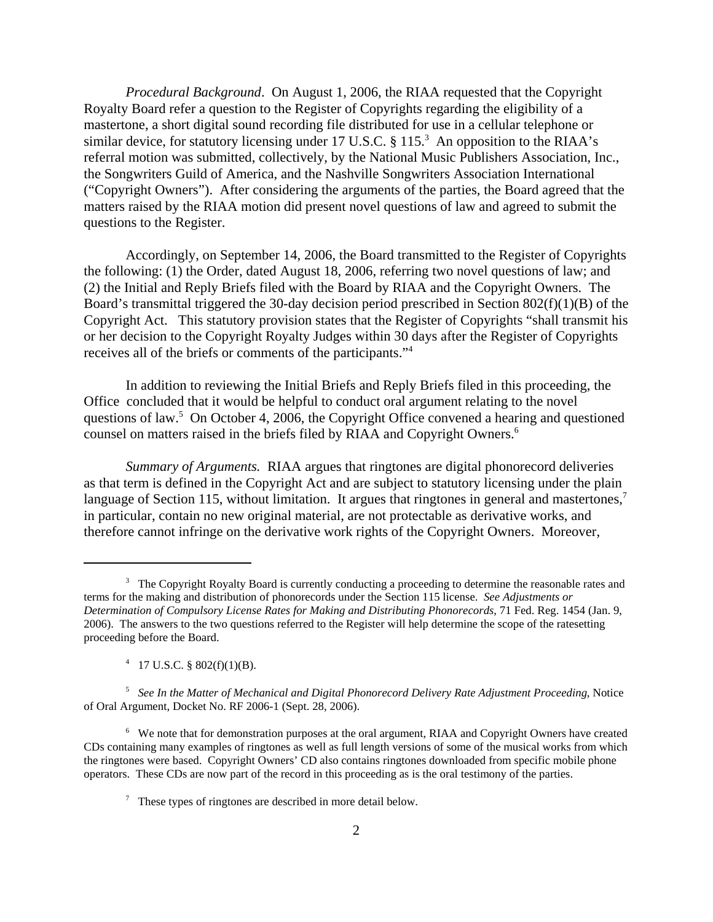*Procedural Background*. On August 1, 2006, the RIAA requested that the Copyright Royalty Board refer a question to the Register of Copyrights regarding the eligibility of a mastertone, a short digital sound recording file distributed for use in a cellular telephone or similar device, for statutory licensing under 17 U.S.C.  $\S 115$ .<sup>3</sup> An opposition to the RIAA's referral motion was submitted, collectively, by the National Music Publishers Association, Inc., the Songwriters Guild of America, and the Nashville Songwriters Association International ("Copyright Owners"). After considering the arguments of the parties, the Board agreed that the matters raised by the RIAA motion did present novel questions of law and agreed to submit the questions to the Register.

Accordingly, on September 14, 2006, the Board transmitted to the Register of Copyrights the following: (1) the Order, dated August 18, 2006, referring two novel questions of law; and (2) the Initial and Reply Briefs filed with the Board by RIAA and the Copyright Owners. The Board's transmittal triggered the 30-day decision period prescribed in Section 802(f)(1)(B) of the Copyright Act. This statutory provision states that the Register of Copyrights "shall transmit his or her decision to the Copyright Royalty Judges within 30 days after the Register of Copyrights receives all of the briefs or comments of the participants."4

In addition to reviewing the Initial Briefs and Reply Briefs filed in this proceeding, the Office concluded that it would be helpful to conduct oral argument relating to the novel questions of law.<sup>5</sup> On October 4, 2006, the Copyright Office convened a hearing and questioned counsel on matters raised in the briefs filed by RIAA and Copyright Owners.<sup>6</sup>

*Summary of Arguments.* RIAA argues that ringtones are digital phonorecord deliveries as that term is defined in the Copyright Act and are subject to statutory licensing under the plain language of Section 115, without limitation. It argues that ringtones in general and mastertones,<sup>7</sup> in particular, contain no new original material, are not protectable as derivative works, and therefore cannot infringe on the derivative work rights of the Copyright Owners. Moreover,

 $4$  17 U.S.C. § 802(f)(1)(B).

5 *See In the Matter of Mechanical and Digital Phonorecord Delivery Rate Adjustment Proceeding*, Notice of Oral Argument, Docket No. RF 2006-1 (Sept. 28, 2006).

<sup>6</sup> We note that for demonstration purposes at the oral argument, RIAA and Copyright Owners have created CDs containing many examples of ringtones as well as full length versions of some of the musical works from which the ringtones were based. Copyright Owners' CD also contains ringtones downloaded from specific mobile phone operators. These CDs are now part of the record in this proceeding as is the oral testimony of the parties.

<sup>&</sup>lt;sup>3</sup> The Copyright Royalty Board is currently conducting a proceeding to determine the reasonable rates and terms for the making and distribution of phonorecords under the Section 115 license. *See Adjustments or Determination of Compulsory License Rates for Making and Distributing Phonorecords*, 71 Fed. Reg. 1454 (Jan. 9, 2006). The answers to the two questions referred to the Register will help determine the scope of the ratesetting proceeding before the Board.

 $7$  These types of ringtones are described in more detail below.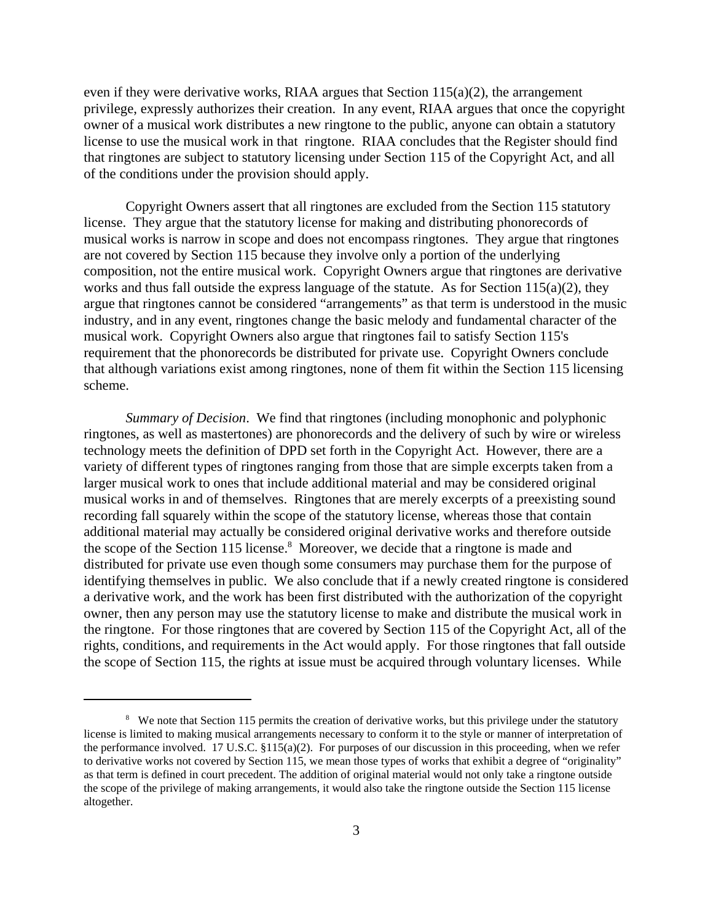even if they were derivative works, RIAA argues that Section  $115(a)(2)$ , the arrangement privilege, expressly authorizes their creation. In any event, RIAA argues that once the copyright owner of a musical work distributes a new ringtone to the public, anyone can obtain a statutory license to use the musical work in that ringtone. RIAA concludes that the Register should find that ringtones are subject to statutory licensing under Section 115 of the Copyright Act, and all of the conditions under the provision should apply.

Copyright Owners assert that all ringtones are excluded from the Section 115 statutory license. They argue that the statutory license for making and distributing phonorecords of musical works is narrow in scope and does not encompass ringtones. They argue that ringtones are not covered by Section 115 because they involve only a portion of the underlying composition, not the entire musical work. Copyright Owners argue that ringtones are derivative works and thus fall outside the express language of the statute. As for Section 115(a)(2), they argue that ringtones cannot be considered "arrangements" as that term is understood in the music industry, and in any event, ringtones change the basic melody and fundamental character of the musical work. Copyright Owners also argue that ringtones fail to satisfy Section 115's requirement that the phonorecords be distributed for private use. Copyright Owners conclude that although variations exist among ringtones, none of them fit within the Section 115 licensing scheme.

*Summary of Decision*. We find that ringtones (including monophonic and polyphonic ringtones, as well as mastertones) are phonorecords and the delivery of such by wire or wireless technology meets the definition of DPD set forth in the Copyright Act. However, there are a variety of different types of ringtones ranging from those that are simple excerpts taken from a larger musical work to ones that include additional material and may be considered original musical works in and of themselves. Ringtones that are merely excerpts of a preexisting sound recording fall squarely within the scope of the statutory license, whereas those that contain additional material may actually be considered original derivative works and therefore outside the scope of the Section 115 license.<sup>8</sup> Moreover, we decide that a ringtone is made and distributed for private use even though some consumers may purchase them for the purpose of identifying themselves in public. We also conclude that if a newly created ringtone is considered a derivative work, and the work has been first distributed with the authorization of the copyright owner, then any person may use the statutory license to make and distribute the musical work in the ringtone. For those ringtones that are covered by Section 115 of the Copyright Act, all of the rights, conditions, and requirements in the Act would apply. For those ringtones that fall outside the scope of Section 115, the rights at issue must be acquired through voluntary licenses. While

<sup>&</sup>lt;sup>8</sup> We note that Section 115 permits the creation of derivative works, but this privilege under the statutory license is limited to making musical arrangements necessary to conform it to the style or manner of interpretation of the performance involved. 17 U.S.C. §115(a)(2). For purposes of our discussion in this proceeding, when we refer to derivative works not covered by Section 115, we mean those types of works that exhibit a degree of "originality" as that term is defined in court precedent. The addition of original material would not only take a ringtone outside the scope of the privilege of making arrangements, it would also take the ringtone outside the Section 115 license altogether.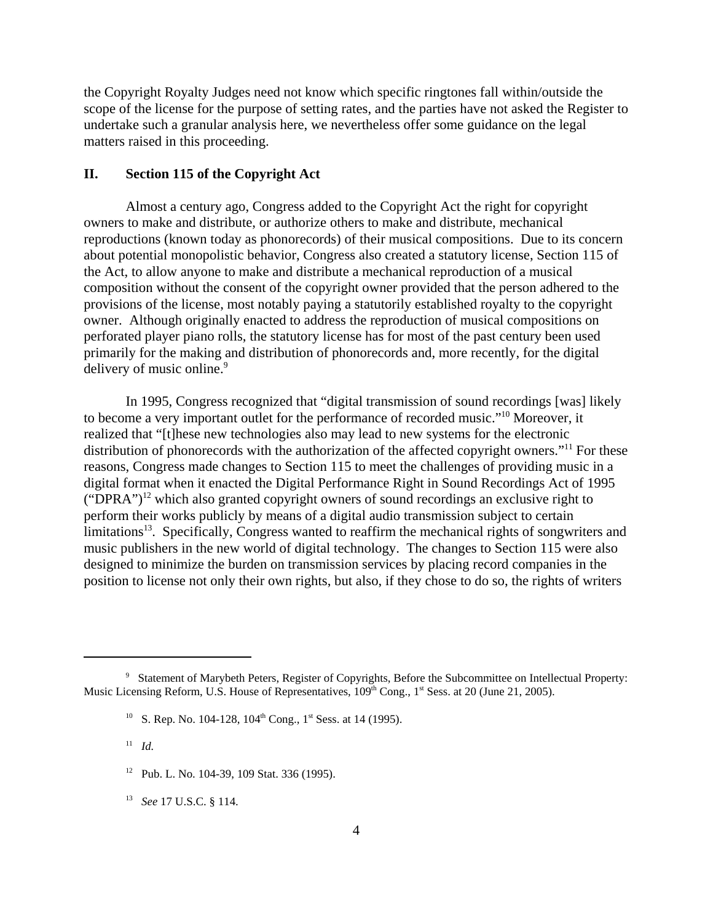the Copyright Royalty Judges need not know which specific ringtones fall within/outside the scope of the license for the purpose of setting rates, and the parties have not asked the Register to undertake such a granular analysis here, we nevertheless offer some guidance on the legal matters raised in this proceeding.

## **II. Section 115 of the Copyright Act**

Almost a century ago, Congress added to the Copyright Act the right for copyright owners to make and distribute, or authorize others to make and distribute, mechanical reproductions (known today as phonorecords) of their musical compositions. Due to its concern about potential monopolistic behavior, Congress also created a statutory license, Section 115 of the Act, to allow anyone to make and distribute a mechanical reproduction of a musical composition without the consent of the copyright owner provided that the person adhered to the provisions of the license, most notably paying a statutorily established royalty to the copyright owner. Although originally enacted to address the reproduction of musical compositions on perforated player piano rolls, the statutory license has for most of the past century been used primarily for the making and distribution of phonorecords and, more recently, for the digital delivery of music online.<sup>9</sup>

In 1995, Congress recognized that "digital transmission of sound recordings [was] likely to become a very important outlet for the performance of recorded music."10 Moreover, it realized that "[t]hese new technologies also may lead to new systems for the electronic distribution of phonorecords with the authorization of the affected copyright owners."<sup>11</sup> For these reasons, Congress made changes to Section 115 to meet the challenges of providing music in a digital format when it enacted the Digital Performance Right in Sound Recordings Act of 1995 ("DPRA")<sup>12</sup> which also granted copyright owners of sound recordings an exclusive right to perform their works publicly by means of a digital audio transmission subject to certain limitations<sup>13</sup>. Specifically, Congress wanted to reaffirm the mechanical rights of songwriters and music publishers in the new world of digital technology. The changes to Section 115 were also designed to minimize the burden on transmission services by placing record companies in the position to license not only their own rights, but also, if they chose to do so, the rights of writers

11 *Id.*

<sup>&</sup>lt;sup>9</sup> Statement of Marybeth Peters, Register of Copyrights, Before the Subcommittee on Intellectual Property: Music Licensing Reform, U.S. House of Representatives,  $109<sup>th</sup>$  Cong., 1<sup>st</sup> Sess. at 20 (June 21, 2005).

<sup>&</sup>lt;sup>10</sup> S. Rep. No. 104-128, 104<sup>th</sup> Cong., 1<sup>st</sup> Sess. at 14 (1995).

<sup>&</sup>lt;sup>12</sup> Pub. L. No. 104-39, 109 Stat. 336 (1995).

<sup>13</sup> *See* 17 U.S.C. § 114.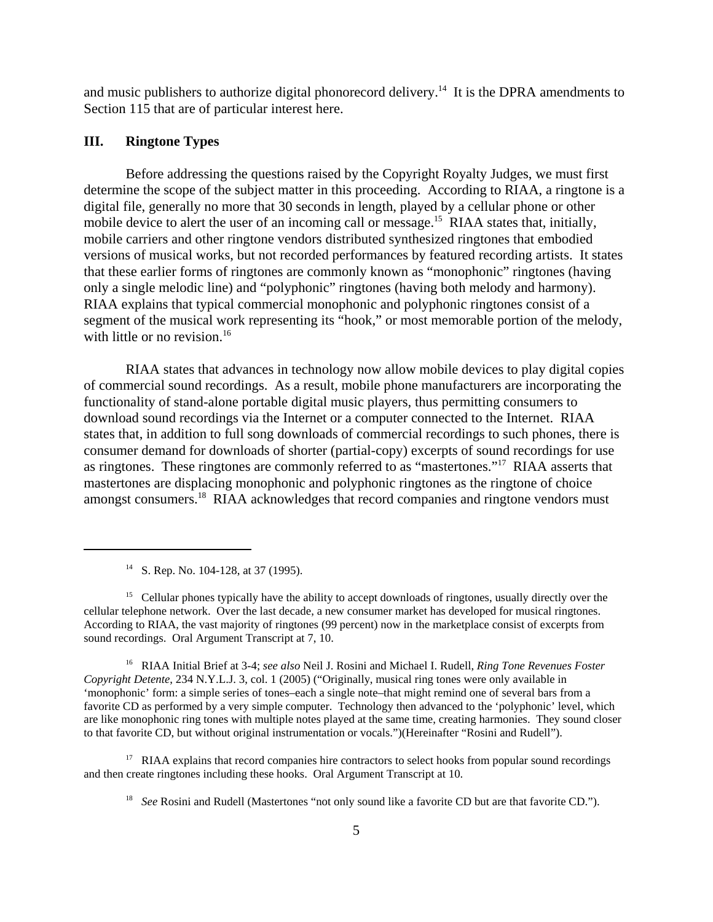and music publishers to authorize digital phonorecord delivery.<sup>14</sup> It is the DPRA amendments to Section 115 that are of particular interest here.

## **III. Ringtone Types**

Before addressing the questions raised by the Copyright Royalty Judges, we must first determine the scope of the subject matter in this proceeding. According to RIAA, a ringtone is a digital file, generally no more that 30 seconds in length, played by a cellular phone or other mobile device to alert the user of an incoming call or message.<sup>15</sup> RIAA states that, initially, mobile carriers and other ringtone vendors distributed synthesized ringtones that embodied versions of musical works, but not recorded performances by featured recording artists. It states that these earlier forms of ringtones are commonly known as "monophonic" ringtones (having only a single melodic line) and "polyphonic" ringtones (having both melody and harmony). RIAA explains that typical commercial monophonic and polyphonic ringtones consist of a segment of the musical work representing its "hook," or most memorable portion of the melody, with little or no revision.<sup>16</sup>

RIAA states that advances in technology now allow mobile devices to play digital copies of commercial sound recordings. As a result, mobile phone manufacturers are incorporating the functionality of stand-alone portable digital music players, thus permitting consumers to download sound recordings via the Internet or a computer connected to the Internet. RIAA states that, in addition to full song downloads of commercial recordings to such phones, there is consumer demand for downloads of shorter (partial-copy) excerpts of sound recordings for use as ringtones. These ringtones are commonly referred to as "mastertones."17 RIAA asserts that mastertones are displacing monophonic and polyphonic ringtones as the ringtone of choice amongst consumers.18 RIAA acknowledges that record companies and ringtone vendors must

<sup>14</sup> S. Rep. No. 104-128, at 37 (1995).

<sup>15</sup> Cellular phones typically have the ability to accept downloads of ringtones, usually directly over the cellular telephone network. Over the last decade, a new consumer market has developed for musical ringtones. According to RIAA, the vast majority of ringtones (99 percent) now in the marketplace consist of excerpts from sound recordings. Oral Argument Transcript at 7, 10.

16 RIAA Initial Brief at 3-4; *see also* Neil J. Rosini and Michael I. Rudell, *Ring Tone Revenues Foster Copyright Detente*, 234 N.Y.L.J. 3, col. 1 (2005) ("Originally, musical ring tones were only available in 'monophonic' form: a simple series of tones–each a single note–that might remind one of several bars from a favorite CD as performed by a very simple computer. Technology then advanced to the 'polyphonic' level, which are like monophonic ring tones with multiple notes played at the same time, creating harmonies. They sound closer to that favorite CD, but without original instrumentation or vocals.")(Hereinafter "Rosini and Rudell").

 $17$  RIAA explains that record companies hire contractors to select hooks from popular sound recordings and then create ringtones including these hooks. Oral Argument Transcript at 10.

<sup>&</sup>lt;sup>18</sup> *See* Rosini and Rudell (Mastertones "not only sound like a favorite CD but are that favorite CD.").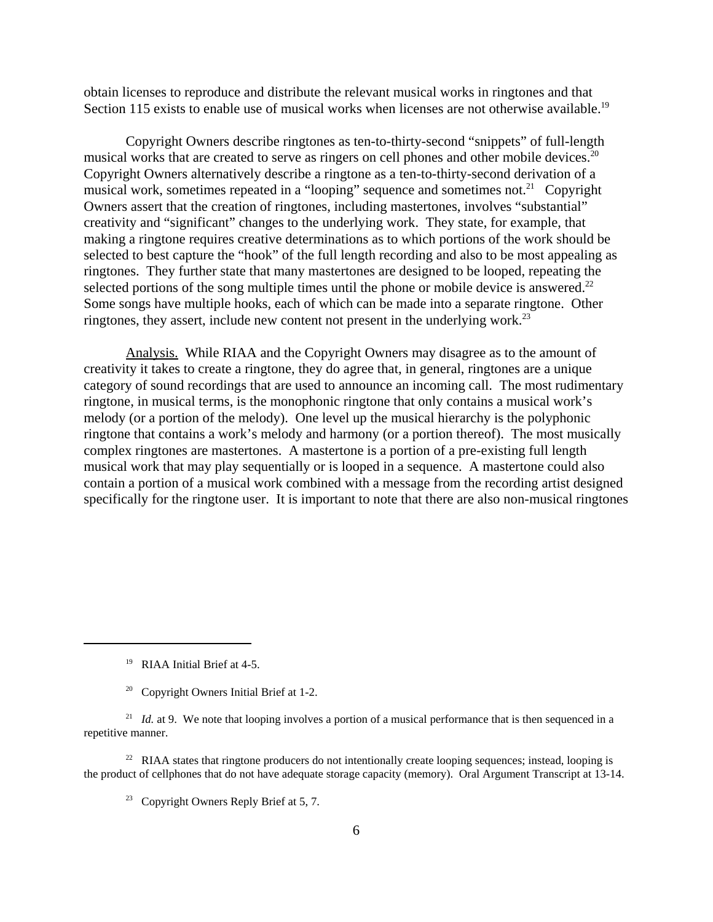obtain licenses to reproduce and distribute the relevant musical works in ringtones and that Section 115 exists to enable use of musical works when licenses are not otherwise available.<sup>19</sup>

Copyright Owners describe ringtones as ten-to-thirty-second "snippets" of full-length musical works that are created to serve as ringers on cell phones and other mobile devices.<sup>20</sup> Copyright Owners alternatively describe a ringtone as a ten-to-thirty-second derivation of a musical work, sometimes repeated in a "looping" sequence and sometimes not.<sup>21</sup> Copyright Owners assert that the creation of ringtones, including mastertones, involves "substantial" creativity and "significant" changes to the underlying work. They state, for example, that making a ringtone requires creative determinations as to which portions of the work should be selected to best capture the "hook" of the full length recording and also to be most appealing as ringtones. They further state that many mastertones are designed to be looped, repeating the selected portions of the song multiple times until the phone or mobile device is answered.<sup>22</sup> Some songs have multiple hooks, each of which can be made into a separate ringtone. Other ringtones, they assert, include new content not present in the underlying work.<sup>23</sup>

Analysis. While RIAA and the Copyright Owners may disagree as to the amount of creativity it takes to create a ringtone, they do agree that, in general, ringtones are a unique category of sound recordings that are used to announce an incoming call. The most rudimentary ringtone, in musical terms, is the monophonic ringtone that only contains a musical work's melody (or a portion of the melody). One level up the musical hierarchy is the polyphonic ringtone that contains a work's melody and harmony (or a portion thereof). The most musically complex ringtones are mastertones. A mastertone is a portion of a pre-existing full length musical work that may play sequentially or is looped in a sequence. A mastertone could also contain a portion of a musical work combined with a message from the recording artist designed specifically for the ringtone user. It is important to note that there are also non-musical ringtones

19 RIAA Initial Brief at 4-5.

<sup>22</sup> RIAA states that ringtone producers do not intentionally create looping sequences; instead, looping is the product of cellphones that do not have adequate storage capacity (memory). Oral Argument Transcript at 13-14.

<sup>20</sup> Copyright Owners Initial Brief at 1-2.

<sup>&</sup>lt;sup>21</sup> *Id.* at 9. We note that looping involves a portion of a musical performance that is then sequenced in a repetitive manner.

<sup>&</sup>lt;sup>23</sup> Copyright Owners Reply Brief at 5, 7.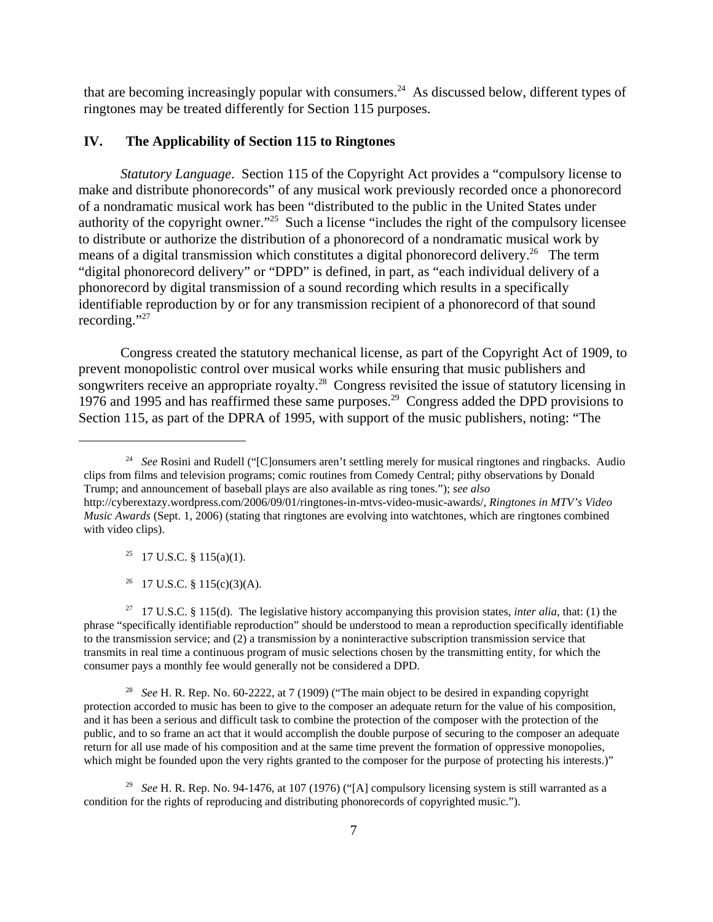that are becoming increasingly popular with consumers.<sup>24</sup> As discussed below, different types of ringtones may be treated differently for Section 115 purposes.

## **IV. The Applicability of Section 115 to Ringtones**

*Statutory Language*. Section 115 of the Copyright Act provides a "compulsory license to make and distribute phonorecords" of any musical work previously recorded once a phonorecord of a nondramatic musical work has been "distributed to the public in the United States under authority of the copyright owner."25 Such a license "includes the right of the compulsory licensee to distribute or authorize the distribution of a phonorecord of a nondramatic musical work by means of a digital transmission which constitutes a digital phonorecord delivery.<sup>26</sup> The term "digital phonorecord delivery" or "DPD" is defined, in part, as "each individual delivery of a phonorecord by digital transmission of a sound recording which results in a specifically identifiable reproduction by or for any transmission recipient of a phonorecord of that sound recording."<sup>27</sup>

Congress created the statutory mechanical license, as part of the Copyright Act of 1909, to prevent monopolistic control over musical works while ensuring that music publishers and songwriters receive an appropriate royalty.<sup>28</sup> Congress revisited the issue of statutory licensing in 1976 and 1995 and has reaffirmed these same purposes.29 Congress added the DPD provisions to Section 115, as part of the DPRA of 1995, with support of the music publishers, noting: "The

<sup>24</sup> *See* Rosini and Rudell ("[C]onsumers aren't settling merely for musical ringtones and ringbacks. Audio clips from films and television programs; comic routines from Comedy Central; pithy observations by Donald Trump; and announcement of baseball plays are also available as ring tones."); *see also* http://cyberextazy.wordpress.com/2006/09/01/ringtones-in-mtvs-video-music-awards/, *Ringtones in MTV's Video Music Awards* (Sept. 1, 2006) (stating that ringtones are evolving into watchtones, which are ringtones combined with video clips).

<sup>25</sup> 17 U.S.C. § 115(a)(1).

<sup>26</sup> 17 U.S.C. § 115(c)(3)(A).

27 17 U.S.C. § 115(d). The legislative history accompanying this provision states, *inter alia*, that: (1) the phrase "specifically identifiable reproduction" should be understood to mean a reproduction specifically identifiable to the transmission service; and (2) a transmission by a noninteractive subscription transmission service that transmits in real time a continuous program of music selections chosen by the transmitting entity, for which the consumer pays a monthly fee would generally not be considered a DPD.

28 *See* H. R. Rep. No. 60-2222, at 7 (1909) ("The main object to be desired in expanding copyright protection accorded to music has been to give to the composer an adequate return for the value of his composition, and it has been a serious and difficult task to combine the protection of the composer with the protection of the public, and to so frame an act that it would accomplish the double purpose of securing to the composer an adequate return for all use made of his composition and at the same time prevent the formation of oppressive monopolies, which might be founded upon the very rights granted to the composer for the purpose of protecting his interests.)"

29 *See* H. R. Rep. No. 94-1476, at 107 (1976) ("[A] compulsory licensing system is still warranted as a condition for the rights of reproducing and distributing phonorecords of copyrighted music.").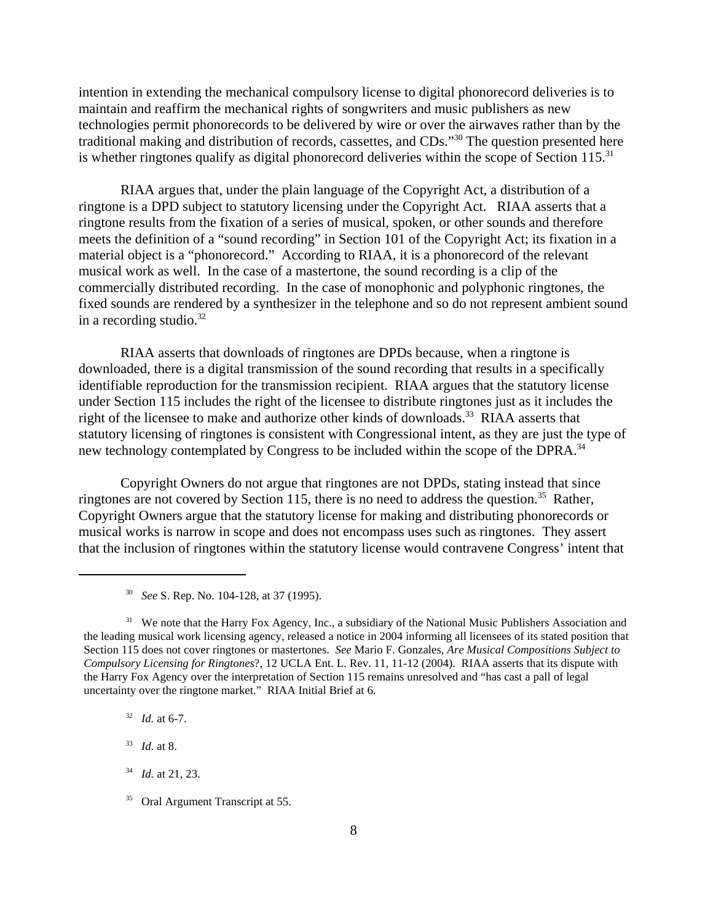intention in extending the mechanical compulsory license to digital phonorecord deliveries is to maintain and reaffirm the mechanical rights of songwriters and music publishers as new technologies permit phonorecords to be delivered by wire or over the airwaves rather than by the traditional making and distribution of records, cassettes, and CDs."30 The question presented here is whether ringtones qualify as digital phonorecord deliveries within the scope of Section  $115$ <sup>31</sup>

RIAA argues that, under the plain language of the Copyright Act, a distribution of a ringtone is a DPD subject to statutory licensing under the Copyright Act. RIAA asserts that a ringtone results from the fixation of a series of musical, spoken, or other sounds and therefore meets the definition of a "sound recording" in Section 101 of the Copyright Act; its fixation in a material object is a "phonorecord." According to RIAA, it is a phonorecord of the relevant musical work as well. In the case of a mastertone, the sound recording is a clip of the commercially distributed recording. In the case of monophonic and polyphonic ringtones, the fixed sounds are rendered by a synthesizer in the telephone and so do not represent ambient sound in a recording studio. $32$ 

RIAA asserts that downloads of ringtones are DPDs because, when a ringtone is downloaded, there is a digital transmission of the sound recording that results in a specifically identifiable reproduction for the transmission recipient. RIAA argues that the statutory license under Section 115 includes the right of the licensee to distribute ringtones just as it includes the right of the licensee to make and authorize other kinds of downloads.<sup>33</sup> RIAA asserts that statutory licensing of ringtones is consistent with Congressional intent, as they are just the type of new technology contemplated by Congress to be included within the scope of the DPRA.<sup>34</sup>

Copyright Owners do not argue that ringtones are not DPDs, stating instead that since ringtones are not covered by Section 115, there is no need to address the question.<sup>35</sup> Rather, Copyright Owners argue that the statutory license for making and distributing phonorecords or musical works is narrow in scope and does not encompass uses such as ringtones. They assert that the inclusion of ringtones within the statutory license would contravene Congress' intent that

33 *Id.* at 8.

34 *Id.* at 21, 23.

<sup>30</sup> *See* S. Rep. No. 104-128, at 37 (1995).

 $31$  We note that the Harry Fox Agency, Inc., a subsidiary of the National Music Publishers Association and the leading musical work licensing agency, released a notice in 2004 informing all licensees of its stated position that Section 115 does not cover ringtones or mastertones. *See* Mario F. Gonzales, *Are Musical Compositions Subject to Compulsory Licensing for Ringtones*?, 12 UCLA Ent. L. Rev. 11, 11-12 (2004). RIAA asserts that its dispute with the Harry Fox Agency over the interpretation of Section 115 remains unresolved and "has cast a pall of legal uncertainty over the ringtone market." RIAA Initial Brief at 6.

<sup>32</sup> *Id.* at 6-7.

<sup>&</sup>lt;sup>35</sup> Oral Argument Transcript at 55.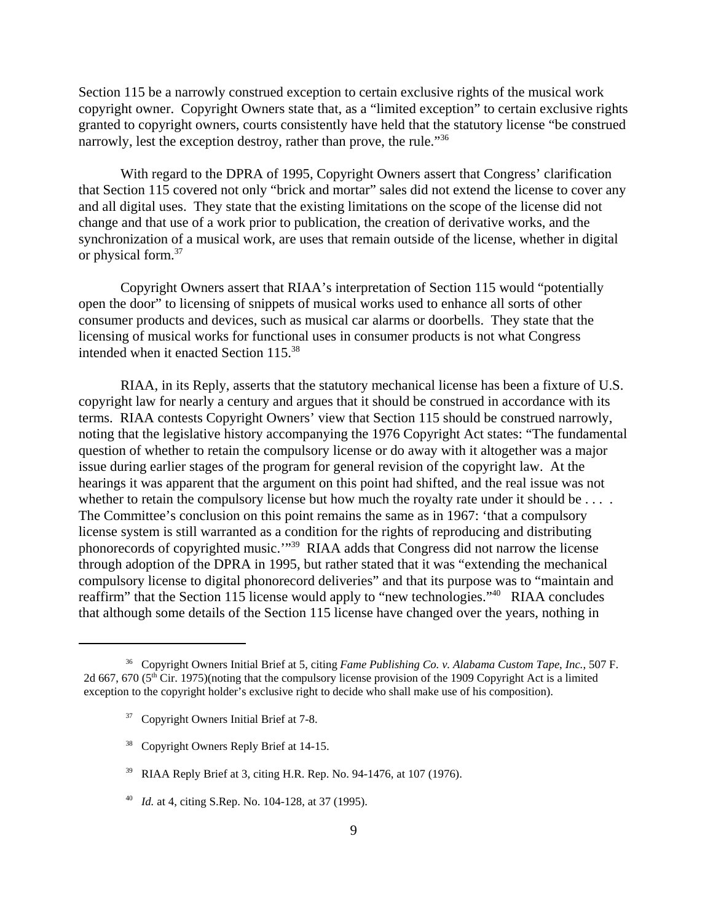Section 115 be a narrowly construed exception to certain exclusive rights of the musical work copyright owner. Copyright Owners state that, as a "limited exception" to certain exclusive rights granted to copyright owners, courts consistently have held that the statutory license "be construed narrowly, lest the exception destroy, rather than prove, the rule.<sup>356</sup>

With regard to the DPRA of 1995, Copyright Owners assert that Congress' clarification that Section 115 covered not only "brick and mortar" sales did not extend the license to cover any and all digital uses. They state that the existing limitations on the scope of the license did not change and that use of a work prior to publication, the creation of derivative works, and the synchronization of a musical work, are uses that remain outside of the license, whether in digital or physical form.<sup>37</sup>

Copyright Owners assert that RIAA's interpretation of Section 115 would "potentially open the door" to licensing of snippets of musical works used to enhance all sorts of other consumer products and devices, such as musical car alarms or doorbells. They state that the licensing of musical works for functional uses in consumer products is not what Congress intended when it enacted Section 115.<sup>38</sup>

RIAA, in its Reply, asserts that the statutory mechanical license has been a fixture of U.S. copyright law for nearly a century and argues that it should be construed in accordance with its terms. RIAA contests Copyright Owners' view that Section 115 should be construed narrowly, noting that the legislative history accompanying the 1976 Copyright Act states: "The fundamental question of whether to retain the compulsory license or do away with it altogether was a major issue during earlier stages of the program for general revision of the copyright law. At the hearings it was apparent that the argument on this point had shifted, and the real issue was not whether to retain the compulsory license but how much the royalty rate under it should be . . . . The Committee's conclusion on this point remains the same as in 1967: 'that a compulsory license system is still warranted as a condition for the rights of reproducing and distributing phonorecords of copyrighted music.'"39 RIAA adds that Congress did not narrow the license through adoption of the DPRA in 1995, but rather stated that it was "extending the mechanical compulsory license to digital phonorecord deliveries" and that its purpose was to "maintain and reaffirm" that the Section 115 license would apply to "new technologies."40 RIAA concludes that although some details of the Section 115 license have changed over the years, nothing in

- <sup>38</sup> Copyright Owners Reply Brief at 14-15.
- $39$  RIAA Reply Brief at 3, citing H.R. Rep. No. 94-1476, at 107 (1976).
- 40 *Id.* at 4, citing S.Rep. No. 104-128, at 37 (1995).

<sup>36</sup> Copyright Owners Initial Brief at 5, citing *Fame Publishing Co. v. Alabama Custom Tape*, *Inc.*, 507 F. 2d 667, 670 ( $5<sup>th</sup>$  Cir. 1975)(noting that the compulsory license provision of the 1909 Copyright Act is a limited exception to the copyright holder's exclusive right to decide who shall make use of his composition).

<sup>&</sup>lt;sup>37</sup> Copyright Owners Initial Brief at 7-8.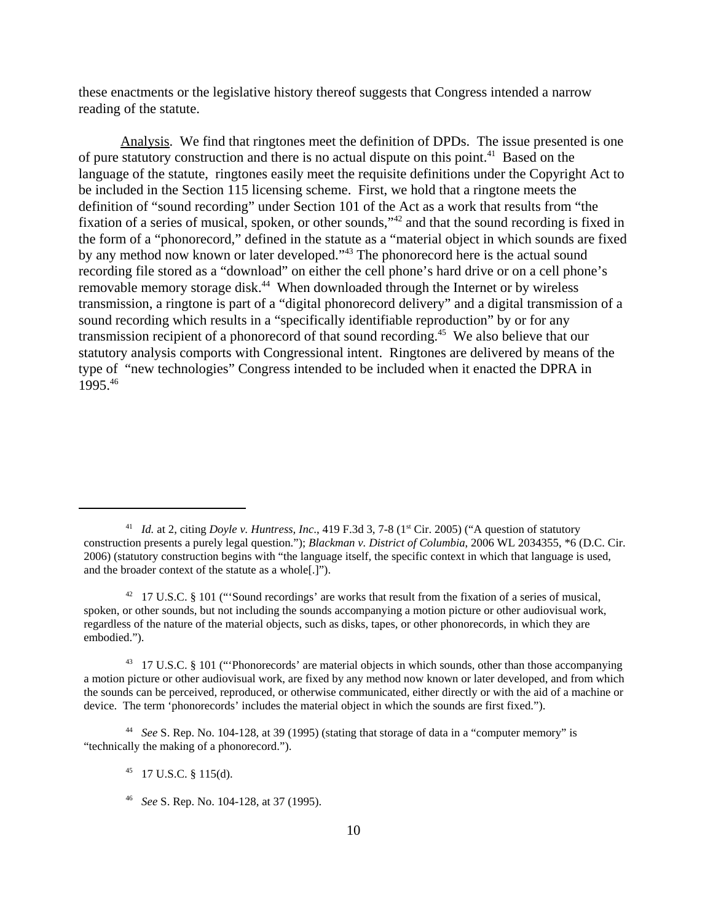these enactments or the legislative history thereof suggests that Congress intended a narrow reading of the statute.

Analysis. We find that ringtones meet the definition of DPDs. The issue presented is one of pure statutory construction and there is no actual dispute on this point.41 Based on the language of the statute, ringtones easily meet the requisite definitions under the Copyright Act to be included in the Section 115 licensing scheme. First, we hold that a ringtone meets the definition of "sound recording" under Section 101 of the Act as a work that results from "the fixation of a series of musical, spoken, or other sounds,"42 and that the sound recording is fixed in the form of a "phonorecord," defined in the statute as a "material object in which sounds are fixed by any method now known or later developed."<sup>43</sup> The phonorecord here is the actual sound recording file stored as a "download" on either the cell phone's hard drive or on a cell phone's removable memory storage disk.<sup>44</sup> When downloaded through the Internet or by wireless transmission, a ringtone is part of a "digital phonorecord delivery" and a digital transmission of a sound recording which results in a "specifically identifiable reproduction" by or for any transmission recipient of a phonorecord of that sound recording.<sup>45</sup> We also believe that our statutory analysis comports with Congressional intent. Ringtones are delivered by means of the type of "new technologies" Congress intended to be included when it enacted the DPRA in 1995.46

<sup>42</sup> 17 U.S.C. § 101 ("Sound recordings' are works that result from the fixation of a series of musical, spoken, or other sounds, but not including the sounds accompanying a motion picture or other audiovisual work, regardless of the nature of the material objects, such as disks, tapes, or other phonorecords, in which they are embodied.").

<sup>43</sup> 17 U.S.C. § 101 ("Phonorecords' are material objects in which sounds, other than those accompanying a motion picture or other audiovisual work, are fixed by any method now known or later developed, and from which the sounds can be perceived, reproduced, or otherwise communicated, either directly or with the aid of a machine or device. The term 'phonorecords' includes the material object in which the sounds are first fixed.").

44 *See* S. Rep. No. 104-128, at 39 (1995) (stating that storage of data in a "computer memory" is "technically the making of a phonorecord.").

 $45$  17 U.S.C. § 115(d).

<sup>&</sup>lt;sup>41</sup> *Id.* at 2, citing *Doyle v. Huntress, Inc.*, 419 F.3d 3, 7-8 (1<sup>st</sup> Cir. 2005) ("A question of statutory construction presents a purely legal question."); *Blackman v. District of Columbia*, 2006 WL 2034355, \*6 (D.C. Cir. 2006) (statutory construction begins with "the language itself, the specific context in which that language is used, and the broader context of the statute as a whole[.]").

<sup>46</sup> *See* S. Rep. No. 104-128, at 37 (1995).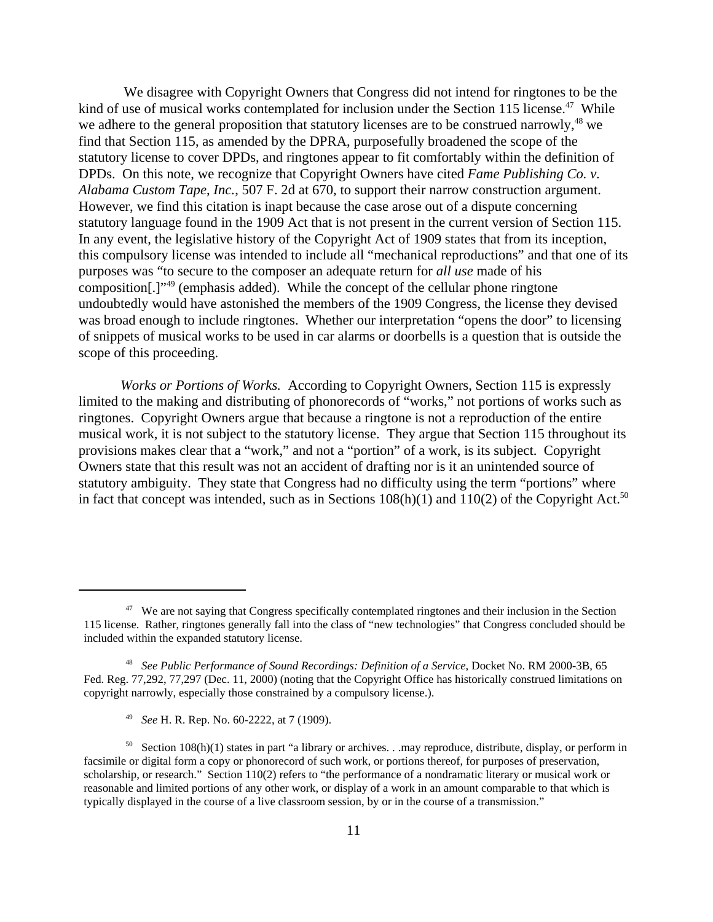We disagree with Copyright Owners that Congress did not intend for ringtones to be the kind of use of musical works contemplated for inclusion under the Section 115 license.<sup>47</sup> While we adhere to the general proposition that statutory licenses are to be construed narrowly,  $48$  we find that Section 115, as amended by the DPRA, purposefully broadened the scope of the statutory license to cover DPDs, and ringtones appear to fit comfortably within the definition of DPDs. On this note, we recognize that Copyright Owners have cited *Fame Publishing Co. v. Alabama Custom Tape*, *Inc.*, 507 F. 2d at 670, to support their narrow construction argument. However, we find this citation is inapt because the case arose out of a dispute concerning statutory language found in the 1909 Act that is not present in the current version of Section 115. In any event, the legislative history of the Copyright Act of 1909 states that from its inception, this compulsory license was intended to include all "mechanical reproductions" and that one of its purposes was "to secure to the composer an adequate return for *all use* made of his composition[.]"49 (emphasis added). While the concept of the cellular phone ringtone undoubtedly would have astonished the members of the 1909 Congress, the license they devised was broad enough to include ringtones. Whether our interpretation "opens the door" to licensing of snippets of musical works to be used in car alarms or doorbells is a question that is outside the scope of this proceeding.

*Works or Portions of Works.* According to Copyright Owners, Section 115 is expressly limited to the making and distributing of phonorecords of "works," not portions of works such as ringtones. Copyright Owners argue that because a ringtone is not a reproduction of the entire musical work, it is not subject to the statutory license. They argue that Section 115 throughout its provisions makes clear that a "work," and not a "portion" of a work, is its subject. Copyright Owners state that this result was not an accident of drafting nor is it an unintended source of statutory ambiguity. They state that Congress had no difficulty using the term "portions" where in fact that concept was intended, such as in Sections  $108(h)(1)$  and  $110(2)$  of the Copyright Act.<sup>50</sup>

49 *See* H. R. Rep. No. 60-2222, at 7 (1909).

50 Section 108(h)(1) states in part "a library or archives. . .may reproduce, distribute, display, or perform in facsimile or digital form a copy or phonorecord of such work, or portions thereof, for purposes of preservation, scholarship, or research." Section 110(2) refers to "the performance of a nondramatic literary or musical work or reasonable and limited portions of any other work, or display of a work in an amount comparable to that which is typically displayed in the course of a live classroom session, by or in the course of a transmission."

 $47$  We are not saying that Congress specifically contemplated ringtones and their inclusion in the Section 115 license. Rather, ringtones generally fall into the class of "new technologies" that Congress concluded should be included within the expanded statutory license.

<sup>48</sup> *See Public Performance of Sound Recordings: Definition of a Service*, Docket No. RM 2000-3B, 65 Fed. Reg. 77,292, 77,297 (Dec. 11, 2000) (noting that the Copyright Office has historically construed limitations on copyright narrowly, especially those constrained by a compulsory license.).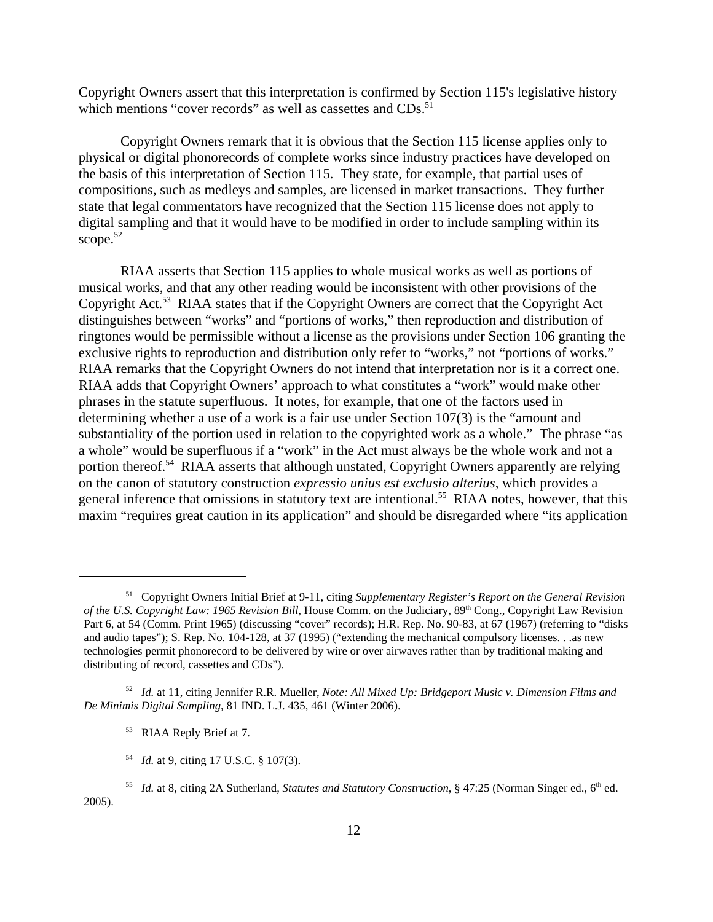Copyright Owners assert that this interpretation is confirmed by Section 115's legislative history which mentions "cover records" as well as cassettes and  $CDs$ <sup>51</sup>

Copyright Owners remark that it is obvious that the Section 115 license applies only to physical or digital phonorecords of complete works since industry practices have developed on the basis of this interpretation of Section 115. They state, for example, that partial uses of compositions, such as medleys and samples, are licensed in market transactions. They further state that legal commentators have recognized that the Section 115 license does not apply to digital sampling and that it would have to be modified in order to include sampling within its scope. $52$ 

RIAA asserts that Section 115 applies to whole musical works as well as portions of musical works, and that any other reading would be inconsistent with other provisions of the Copyright Act.<sup>53</sup> RIAA states that if the Copyright Owners are correct that the Copyright Act distinguishes between "works" and "portions of works," then reproduction and distribution of ringtones would be permissible without a license as the provisions under Section 106 granting the exclusive rights to reproduction and distribution only refer to "works," not "portions of works." RIAA remarks that the Copyright Owners do not intend that interpretation nor is it a correct one. RIAA adds that Copyright Owners' approach to what constitutes a "work" would make other phrases in the statute superfluous. It notes, for example, that one of the factors used in determining whether a use of a work is a fair use under Section 107(3) is the "amount and substantiality of the portion used in relation to the copyrighted work as a whole." The phrase "as a whole" would be superfluous if a "work" in the Act must always be the whole work and not a portion thereof.<sup>54</sup> RIAA asserts that although unstated, Copyright Owners apparently are relying on the canon of statutory construction *expressio unius est exclusio alterius*, which provides a general inference that omissions in statutory text are intentional.<sup>55</sup> RIAA notes, however, that this maxim "requires great caution in its application" and should be disregarded where "its application

52 *Id.* at 11, citing Jennifer R.R. Mueller, *Note: All Mixed Up: Bridgeport Music v. Dimension Films and De Minimis Digital Sampling*, 81 IND. L.J. 435, 461 (Winter 2006).

- 53 RIAA Reply Brief at 7.
- 54 *Id.* at 9, citing 17 U.S.C. § 107(3).

<sup>51</sup> Copyright Owners Initial Brief at 9-11, citing *Supplementary Register's Report on the General Revision of the U.S. Copyright Law: 1965 Revision Bill*, House Comm. on the Judiciary, 89<sup>th</sup> Cong., Copyright Law Revision Part 6, at 54 (Comm. Print 1965) (discussing "cover" records); H.R. Rep. No. 90-83, at 67 (1967) (referring to "disks") and audio tapes"); S. Rep. No. 104-128, at 37 (1995) ("extending the mechanical compulsory licenses. . .as new technologies permit phonorecord to be delivered by wire or over airwaves rather than by traditional making and distributing of record, cassettes and CDs").

<sup>&</sup>lt;sup>55</sup> *Id.* at 8, citing 2A Sutherland, *Statutes and Statutory Construction*, § 47:25 (Norman Singer ed., 6<sup>th</sup> ed. 2005).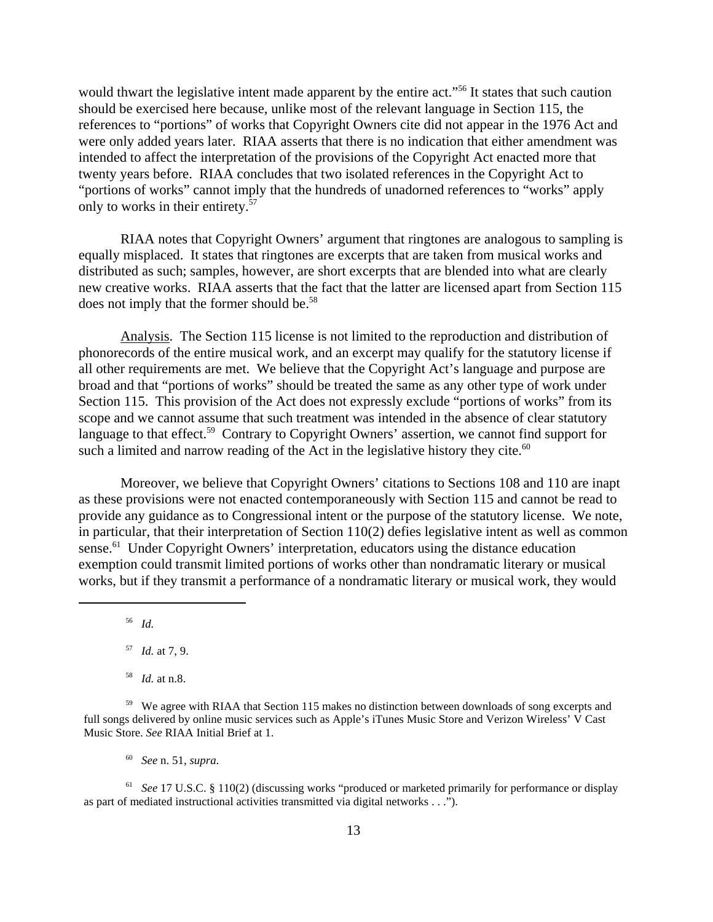would thwart the legislative intent made apparent by the entire act."<sup>56</sup> It states that such caution should be exercised here because, unlike most of the relevant language in Section 115, the references to "portions" of works that Copyright Owners cite did not appear in the 1976 Act and were only added years later. RIAA asserts that there is no indication that either amendment was intended to affect the interpretation of the provisions of the Copyright Act enacted more that twenty years before. RIAA concludes that two isolated references in the Copyright Act to "portions of works" cannot imply that the hundreds of unadorned references to "works" apply only to works in their entirety.<sup>57</sup>

RIAA notes that Copyright Owners' argument that ringtones are analogous to sampling is equally misplaced. It states that ringtones are excerpts that are taken from musical works and distributed as such; samples, however, are short excerpts that are blended into what are clearly new creative works. RIAA asserts that the fact that the latter are licensed apart from Section 115 does not imply that the former should be.<sup>58</sup>

Analysis. The Section 115 license is not limited to the reproduction and distribution of phonorecords of the entire musical work, and an excerpt may qualify for the statutory license if all other requirements are met. We believe that the Copyright Act's language and purpose are broad and that "portions of works" should be treated the same as any other type of work under Section 115. This provision of the Act does not expressly exclude "portions of works" from its scope and we cannot assume that such treatment was intended in the absence of clear statutory language to that effect.<sup>59</sup> Contrary to Copyright Owners' assertion, we cannot find support for such a limited and narrow reading of the Act in the legislative history they cite.<sup>60</sup>

Moreover, we believe that Copyright Owners' citations to Sections 108 and 110 are inapt as these provisions were not enacted contemporaneously with Section 115 and cannot be read to provide any guidance as to Congressional intent or the purpose of the statutory license. We note, in particular, that their interpretation of Section 110(2) defies legislative intent as well as common sense.<sup>61</sup> Under Copyright Owners' interpretation, educators using the distance education exemption could transmit limited portions of works other than nondramatic literary or musical works, but if they transmit a performance of a nondramatic literary or musical work, they would

56 *Id.*

<sup>57</sup> *Id.* at 7, 9.

<sup>58</sup> *Id.* at n.8.

<sup>&</sup>lt;sup>59</sup> We agree with RIAA that Section 115 makes no distinction between downloads of song excerpts and full songs delivered by online music services such as Apple's iTunes Music Store and Verizon Wireless' V Cast Music Store. *See* RIAA Initial Brief at 1.

<sup>60</sup> *See* n. 51, *supra*.

<sup>61</sup> *See* 17 U.S.C. § 110(2) (discussing works "produced or marketed primarily for performance or display as part of mediated instructional activities transmitted via digital networks . . .").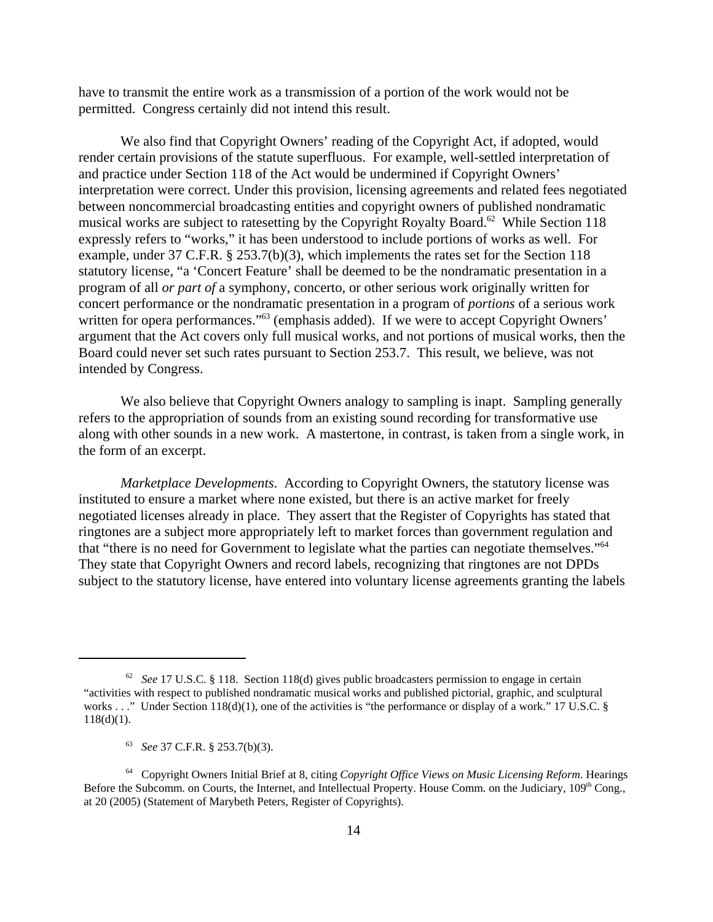have to transmit the entire work as a transmission of a portion of the work would not be permitted. Congress certainly did not intend this result.

We also find that Copyright Owners' reading of the Copyright Act, if adopted, would render certain provisions of the statute superfluous. For example, well-settled interpretation of and practice under Section 118 of the Act would be undermined if Copyright Owners' interpretation were correct. Under this provision, licensing agreements and related fees negotiated between noncommercial broadcasting entities and copyright owners of published nondramatic musical works are subject to ratesetting by the Copyright Royalty Board.<sup>62</sup> While Section 118 expressly refers to "works," it has been understood to include portions of works as well. For example, under 37 C.F.R. § 253.7(b)(3), which implements the rates set for the Section 118 statutory license, "a 'Concert Feature' shall be deemed to be the nondramatic presentation in a program of all *or part of* a symphony, concerto, or other serious work originally written for concert performance or the nondramatic presentation in a program of *portions* of a serious work written for opera performances."<sup>63</sup> (emphasis added). If we were to accept Copyright Owners' argument that the Act covers only full musical works, and not portions of musical works, then the Board could never set such rates pursuant to Section 253.7. This result, we believe, was not intended by Congress.

We also believe that Copyright Owners analogy to sampling is inapt. Sampling generally refers to the appropriation of sounds from an existing sound recording for transformative use along with other sounds in a new work. A mastertone, in contrast, is taken from a single work, in the form of an excerpt.

*Marketplace Developments*. According to Copyright Owners, the statutory license was instituted to ensure a market where none existed, but there is an active market for freely negotiated licenses already in place. They assert that the Register of Copyrights has stated that ringtones are a subject more appropriately left to market forces than government regulation and that "there is no need for Government to legislate what the parties can negotiate themselves."64 They state that Copyright Owners and record labels, recognizing that ringtones are not DPDs subject to the statutory license, have entered into voluntary license agreements granting the labels

<sup>62</sup> *See* 17 U.S.C. § 118. Section 118(d) gives public broadcasters permission to engage in certain "activities with respect to published nondramatic musical works and published pictorial, graphic, and sculptural works . . ." Under Section 118(d)(1), one of the activities is "the performance or display of a work." 17 U.S.C. §  $118(d)(1)$ .

<sup>63</sup> *See* 37 C.F.R. § 253.7(b)(3).

<sup>64</sup> Copyright Owners Initial Brief at 8, citing *Copyright Office Views on Music Licensing Reform*. Hearings Before the Subcomm. on Courts, the Internet, and Intellectual Property. House Comm. on the Judiciary, 109<sup>th</sup> Cong., at 20 (2005) (Statement of Marybeth Peters, Register of Copyrights).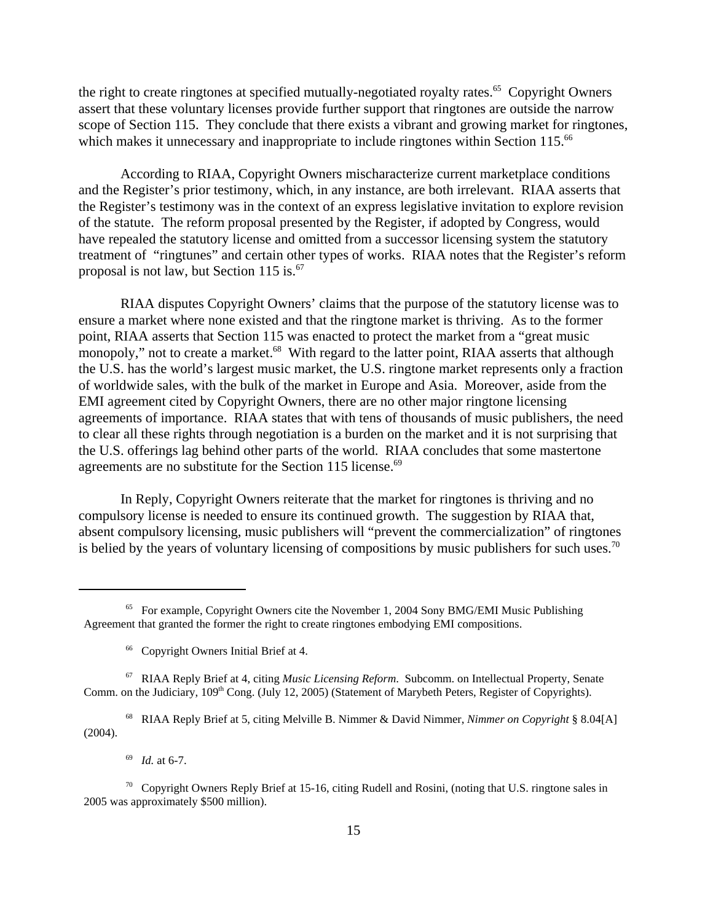the right to create ringtones at specified mutually-negotiated royalty rates.<sup>65</sup> Copyright Owners assert that these voluntary licenses provide further support that ringtones are outside the narrow scope of Section 115. They conclude that there exists a vibrant and growing market for ringtones, which makes it unnecessary and inappropriate to include ringtones within Section 115.<sup>66</sup>

According to RIAA, Copyright Owners mischaracterize current marketplace conditions and the Register's prior testimony, which, in any instance, are both irrelevant. RIAA asserts that the Register's testimony was in the context of an express legislative invitation to explore revision of the statute. The reform proposal presented by the Register, if adopted by Congress, would have repealed the statutory license and omitted from a successor licensing system the statutory treatment of "ringtunes" and certain other types of works. RIAA notes that the Register's reform proposal is not law, but Section  $115$  is.<sup>67</sup>

RIAA disputes Copyright Owners' claims that the purpose of the statutory license was to ensure a market where none existed and that the ringtone market is thriving. As to the former point, RIAA asserts that Section 115 was enacted to protect the market from a "great music monopoly," not to create a market.<sup>68</sup> With regard to the latter point, RIAA asserts that although the U.S. has the world's largest music market, the U.S. ringtone market represents only a fraction of worldwide sales, with the bulk of the market in Europe and Asia. Moreover, aside from the EMI agreement cited by Copyright Owners, there are no other major ringtone licensing agreements of importance. RIAA states that with tens of thousands of music publishers, the need to clear all these rights through negotiation is a burden on the market and it is not surprising that the U.S. offerings lag behind other parts of the world. RIAA concludes that some mastertone agreements are no substitute for the Section 115 license.<sup>69</sup>

In Reply, Copyright Owners reiterate that the market for ringtones is thriving and no compulsory license is needed to ensure its continued growth. The suggestion by RIAA that, absent compulsory licensing, music publishers will "prevent the commercialization" of ringtones is belied by the years of voluntary licensing of compositions by music publishers for such uses.<sup>70</sup>

69 *Id.* at 6-7.

 $<sup>65</sup>$  For example, Copyright Owners cite the November 1, 2004 Sony BMG/EMI Music Publishing</sup> Agreement that granted the former the right to create ringtones embodying EMI compositions.

<sup>66</sup> Copyright Owners Initial Brief at 4.

<sup>67</sup> RIAA Reply Brief at 4, citing *Music Licensing Reform*. Subcomm. on Intellectual Property, Senate Comm. on the Judiciary, 109<sup>th</sup> Cong. (July 12, 2005) (Statement of Marybeth Peters, Register of Copyrights).

<sup>68</sup> RIAA Reply Brief at 5, citing Melville B. Nimmer & David Nimmer, *Nimmer on Copyright* § 8.04[A] (2004).

 $70$  Copyright Owners Reply Brief at 15-16, citing Rudell and Rosini, (noting that U.S. ringtone sales in 2005 was approximately \$500 million).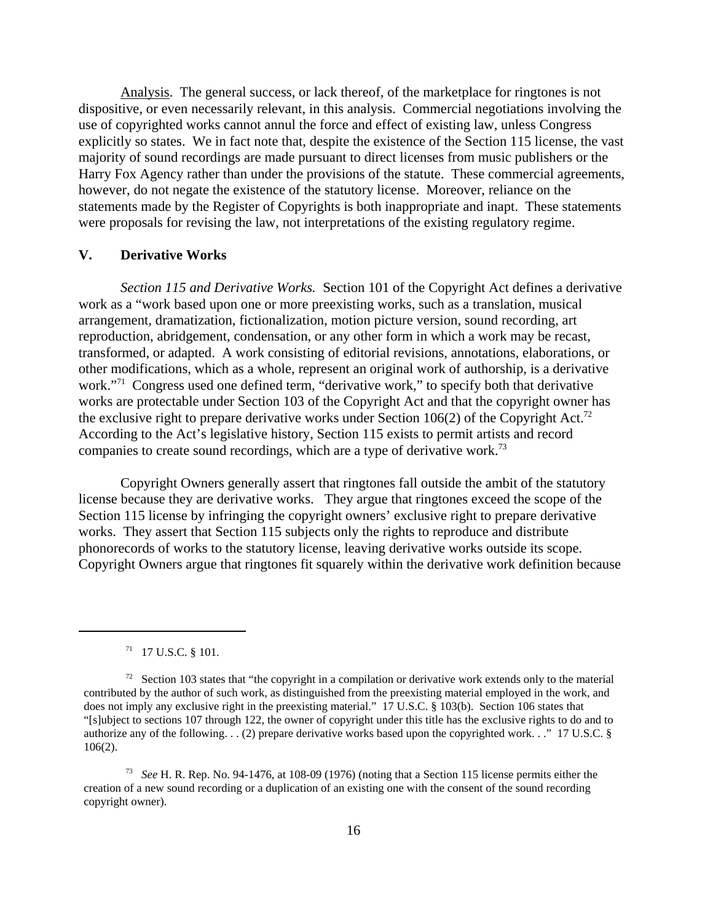Analysis. The general success, or lack thereof, of the marketplace for ringtones is not dispositive, or even necessarily relevant, in this analysis. Commercial negotiations involving the use of copyrighted works cannot annul the force and effect of existing law, unless Congress explicitly so states. We in fact note that, despite the existence of the Section 115 license, the vast majority of sound recordings are made pursuant to direct licenses from music publishers or the Harry Fox Agency rather than under the provisions of the statute. These commercial agreements, however, do not negate the existence of the statutory license. Moreover, reliance on the statements made by the Register of Copyrights is both inappropriate and inapt. These statements were proposals for revising the law, not interpretations of the existing regulatory regime.

# **V. Derivative Works**

*Section 115 and Derivative Works.* Section 101 of the Copyright Act defines a derivative work as a "work based upon one or more preexisting works, such as a translation, musical arrangement, dramatization, fictionalization, motion picture version, sound recording, art reproduction, abridgement, condensation, or any other form in which a work may be recast, transformed, or adapted. A work consisting of editorial revisions, annotations, elaborations, or other modifications, which as a whole, represent an original work of authorship, is a derivative work."<sup>71</sup> Congress used one defined term, "derivative work," to specify both that derivative works are protectable under Section 103 of the Copyright Act and that the copyright owner has the exclusive right to prepare derivative works under Section 106(2) of the Copyright Act.<sup>72</sup> According to the Act's legislative history, Section 115 exists to permit artists and record companies to create sound recordings, which are a type of derivative work.<sup>73</sup>

Copyright Owners generally assert that ringtones fall outside the ambit of the statutory license because they are derivative works. They argue that ringtones exceed the scope of the Section 115 license by infringing the copyright owners' exclusive right to prepare derivative works. They assert that Section 115 subjects only the rights to reproduce and distribute phonorecords of works to the statutory license, leaving derivative works outside its scope. Copyright Owners argue that ringtones fit squarely within the derivative work definition because

 $71$  17 U.S.C. § 101.

 $72$  Section 103 states that "the copyright in a compilation or derivative work extends only to the material contributed by the author of such work, as distinguished from the preexisting material employed in the work, and does not imply any exclusive right in the preexisting material." 17 U.S.C. § 103(b). Section 106 states that "[s]ubject to sections 107 through 122, the owner of copyright under this title has the exclusive rights to do and to authorize any of the following. . . (2) prepare derivative works based upon the copyrighted work. . ." 17 U.S.C. § 106(2).

<sup>73</sup> *See* H. R. Rep. No. 94-1476, at 108-09 (1976) (noting that a Section 115 license permits either the creation of a new sound recording or a duplication of an existing one with the consent of the sound recording copyright owner).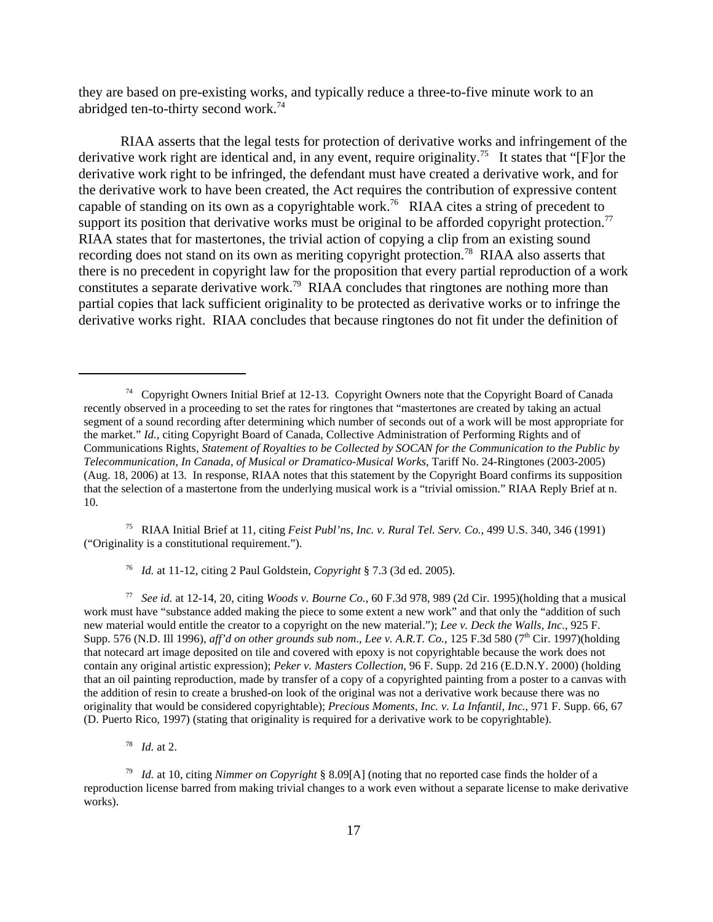they are based on pre-existing works, and typically reduce a three-to-five minute work to an abridged ten-to-thirty second work.<sup>74</sup>

RIAA asserts that the legal tests for protection of derivative works and infringement of the derivative work right are identical and, in any event, require originality.<sup>75</sup> It states that "[F]or the derivative work right to be infringed, the defendant must have created a derivative work, and for the derivative work to have been created, the Act requires the contribution of expressive content capable of standing on its own as a copyrightable work.<sup>76</sup> RIAA cites a string of precedent to support its position that derivative works must be original to be afforded copyright protection.<sup>77</sup> RIAA states that for mastertones, the trivial action of copying a clip from an existing sound recording does not stand on its own as meriting copyright protection.<sup>78</sup> RIAA also asserts that there is no precedent in copyright law for the proposition that every partial reproduction of a work constitutes a separate derivative work.<sup>79</sup> RIAA concludes that ringtones are nothing more than partial copies that lack sufficient originality to be protected as derivative works or to infringe the derivative works right. RIAA concludes that because ringtones do not fit under the definition of

75 RIAA Initial Brief at 11, citing *Feist Publ'ns, Inc. v. Rural Tel. Serv. Co.*, 499 U.S. 340, 346 (1991) ("Originality is a constitutional requirement.").

76 *Id.* at 11-12, citing 2 Paul Goldstein, *Copyright* § 7.3 (3d ed. 2005).

77 *See id.* at 12-14, 20, citing *Woods v. Bourne Co.*, 60 F.3d 978, 989 (2d Cir. 1995)(holding that a musical work must have "substance added making the piece to some extent a new work" and that only the "addition of such new material would entitle the creator to a copyright on the new material."); *Lee v. Deck the Walls, Inc*., 925 F. Supp. 576 (N.D. Ill 1996), *aff'd on other grounds sub nom.*, *Lee v. A.R.T. Co.*, 125 F.3d 580 (7<sup>th</sup> Cir. 1997)(holding that notecard art image deposited on tile and covered with epoxy is not copyrightable because the work does not contain any original artistic expression); *Peker v. Masters Collection*, 96 F. Supp. 2d 216 (E.D.N.Y. 2000) (holding that an oil painting reproduction, made by transfer of a copy of a copyrighted painting from a poster to a canvas with the addition of resin to create a brushed-on look of the original was not a derivative work because there was no originality that would be considered copyrightable); *Precious Moments, Inc. v. La Infantil, Inc.*, 971 F. Supp. 66, 67 (D. Puerto Rico, 1997) (stating that originality is required for a derivative work to be copyrightable).

78 *Id.* at 2.

79 *Id.* at 10, citing *Nimmer on Copyright* § 8.09[A] (noting that no reported case finds the holder of a reproduction license barred from making trivial changes to a work even without a separate license to make derivative works).

<sup>&</sup>lt;sup>74</sup> Copyright Owners Initial Brief at 12-13. Copyright Owners note that the Copyright Board of Canada recently observed in a proceeding to set the rates for ringtones that "mastertones are created by taking an actual segment of a sound recording after determining which number of seconds out of a work will be most appropriate for the market." *Id.,* citing Copyright Board of Canada, Collective Administration of Performing Rights and of Communications Rights, *Statement of Royalties to be Collected by SOCAN for the Communication to the Public by Telecommunication, In Canada, of Musical or Dramatico-Musical Works*, Tariff No. 24-Ringtones (2003-2005) (Aug. 18, 2006) at 13. In response, RIAA notes that this statement by the Copyright Board confirms its supposition that the selection of a mastertone from the underlying musical work is a "trivial omission." RIAA Reply Brief at n. 10.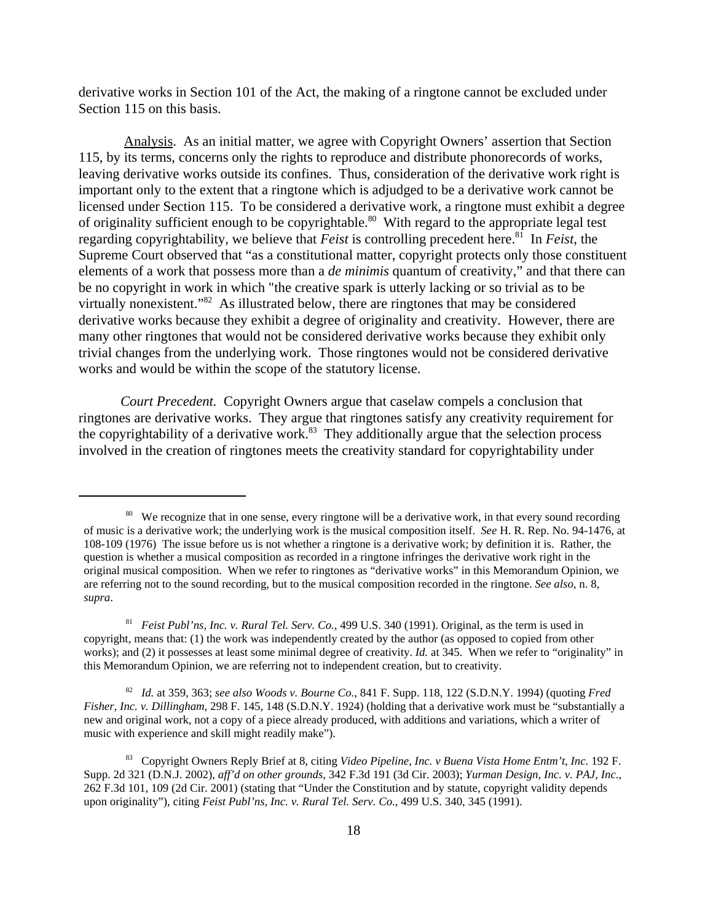derivative works in Section 101 of the Act, the making of a ringtone cannot be excluded under Section 115 on this basis.

 Analysis. As an initial matter, we agree with Copyright Owners' assertion that Section 115, by its terms, concerns only the rights to reproduce and distribute phonorecords of works, leaving derivative works outside its confines. Thus, consideration of the derivative work right is important only to the extent that a ringtone which is adjudged to be a derivative work cannot be licensed under Section 115. To be considered a derivative work, a ringtone must exhibit a degree of originality sufficient enough to be copyrightable.<sup>80</sup> With regard to the appropriate legal test regarding copyrightability, we believe that *Feist* is controlling precedent here.<sup>81</sup> In *Feist*, the Supreme Court observed that "as a constitutional matter, copyright protects only those constituent elements of a work that possess more than a *de minimis* quantum of creativity," and that there can be no copyright in work in which "the creative spark is utterly lacking or so trivial as to be virtually nonexistent."82 As illustrated below, there are ringtones that may be considered derivative works because they exhibit a degree of originality and creativity. However, there are many other ringtones that would not be considered derivative works because they exhibit only trivial changes from the underlying work. Those ringtones would not be considered derivative works and would be within the scope of the statutory license.

*Court Precedent.* Copyright Owners argue that caselaw compels a conclusion that ringtones are derivative works. They argue that ringtones satisfy any creativity requirement for the copyrightability of a derivative work. $83$  They additionally argue that the selection process involved in the creation of ringtones meets the creativity standard for copyrightability under

<sup>&</sup>lt;sup>80</sup> We recognize that in one sense, every ringtone will be a derivative work, in that every sound recording of music is a derivative work; the underlying work is the musical composition itself. *See* H. R. Rep. No. 94-1476, at 108-109 (1976) The issue before us is not whether a ringtone is a derivative work; by definition it is. Rather, the question is whether a musical composition as recorded in a ringtone infringes the derivative work right in the original musical composition. When we refer to ringtones as "derivative works" in this Memorandum Opinion, we are referring not to the sound recording, but to the musical composition recorded in the ringtone. *See also*, n. 8, *supra*.

<sup>81</sup> *Feist Publ'ns, Inc. v. Rural Tel. Serv. Co.*, 499 U.S. 340 (1991). Original, as the term is used in copyright, means that: (1) the work was independently created by the author (as opposed to copied from other works); and (2) it possesses at least some minimal degree of creativity. *Id.* at 345. When we refer to "originality" in this Memorandum Opinion, we are referring not to independent creation, but to creativity.

<sup>82</sup> *Id.* at 359, 363; *see also Woods v. Bourne Co.*, 841 F. Supp. 118, 122 (S.D.N.Y. 1994) (quoting *Fred Fisher, Inc. v. Dillingham*, 298 F. 145, 148 (S.D.N.Y. 1924) (holding that a derivative work must be "substantially a new and original work, not a copy of a piece already produced, with additions and variations, which a writer of music with experience and skill might readily make").

<sup>83</sup> Copyright Owners Reply Brief at 8, citing *Video Pipeline, Inc. v Buena Vista Home Entm't*, *Inc.* 192 F. Supp. 2d 321 (D.N.J. 2002), *aff'd on other grounds*, 342 F.3d 191 (3d Cir. 2003); *Yurman Design, Inc. v. PAJ, Inc*., 262 F.3d 101, 109 (2d Cir. 2001) (stating that "Under the Constitution and by statute, copyright validity depends upon originality"), citing *Feist Publ'ns, Inc. v. Rural Tel. Serv. Co.*, 499 U.S. 340, 345 (1991).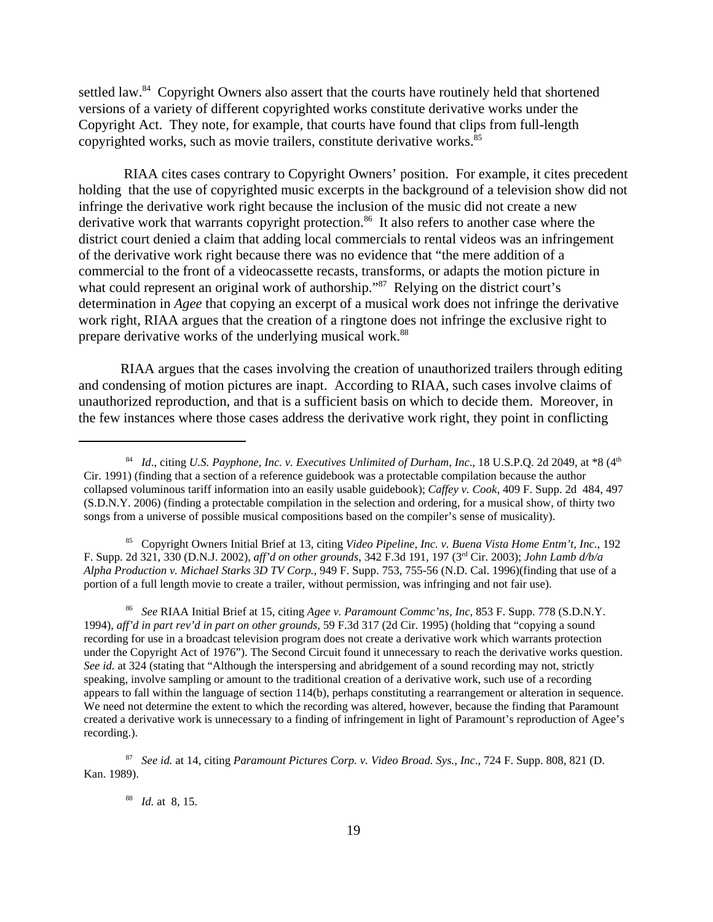settled law.<sup>84</sup> Copyright Owners also assert that the courts have routinely held that shortened versions of a variety of different copyrighted works constitute derivative works under the Copyright Act. They note, for example, that courts have found that clips from full-length copyrighted works, such as movie trailers, constitute derivative works.<sup>85</sup>

 RIAA cites cases contrary to Copyright Owners' position. For example, it cites precedent holding that the use of copyrighted music excerpts in the background of a television show did not infringe the derivative work right because the inclusion of the music did not create a new derivative work that warrants copyright protection.<sup>86</sup> It also refers to another case where the district court denied a claim that adding local commercials to rental videos was an infringement of the derivative work right because there was no evidence that "the mere addition of a commercial to the front of a videocassette recasts, transforms, or adapts the motion picture in what could represent an original work of authorship."<sup>87</sup> Relying on the district court's determination in *Agee* that copying an excerpt of a musical work does not infringe the derivative work right, RIAA argues that the creation of a ringtone does not infringe the exclusive right to prepare derivative works of the underlying musical work.<sup>88</sup>

RIAA argues that the cases involving the creation of unauthorized trailers through editing and condensing of motion pictures are inapt. According to RIAA, such cases involve claims of unauthorized reproduction, and that is a sufficient basis on which to decide them. Moreover, in the few instances where those cases address the derivative work right, they point in conflicting

85 Copyright Owners Initial Brief at 13, citing *Video Pipeline, Inc. v. Buena Vista Home Entm't, Inc.*, 192 F. Supp. 2d 321, 330 (D.N.J. 2002), *aff'd on other grounds*, 342 F.3d 191, 197 (3rd Cir. 2003); *John Lamb d/b/a Alpha Production v. Michael Starks 3D TV Corp.*, 949 F. Supp. 753, 755-56 (N.D. Cal. 1996)(finding that use of a portion of a full length movie to create a trailer, without permission, was infringing and not fair use).

86 *See* RIAA Initial Brief at 15, citing *Agee v. Paramount Commc'ns, Inc*, 853 F. Supp. 778 (S.D.N.Y. 1994), *aff'd in part rev'd in part on other grounds*, 59 F.3d 317 (2d Cir. 1995) (holding that "copying a sound recording for use in a broadcast television program does not create a derivative work which warrants protection under the Copyright Act of 1976"). The Second Circuit found it unnecessary to reach the derivative works question. *See id.* at 324 (stating that "Although the interspersing and abridgement of a sound recording may not, strictly speaking, involve sampling or amount to the traditional creation of a derivative work, such use of a recording appears to fall within the language of section 114(b), perhaps constituting a rearrangement or alteration in sequence. We need not determine the extent to which the recording was altered, however, because the finding that Paramount created a derivative work is unnecessary to a finding of infringement in light of Paramount's reproduction of Agee's recording.).

87 *See id.* at 14, citing *Paramount Pictures Corp. v. Video Broad. Sys., Inc*., 724 F. Supp. 808, 821 (D. Kan. 1989).

88 *Id.* at 8, 15.

<sup>&</sup>lt;sup>84</sup> *Id.*, citing *U.S. Payphone, Inc. v. Executives Unlimited of Durham, Inc., 18 U.S.P.Q. 2d 2049, at \*8 (4<sup>th</sup>)* Cir. 1991) (finding that a section of a reference guidebook was a protectable compilation because the author collapsed voluminous tariff information into an easily usable guidebook); *Caffey v. Cook*, 409 F. Supp. 2d 484, 497 (S.D.N.Y. 2006) (finding a protectable compilation in the selection and ordering, for a musical show, of thirty two songs from a universe of possible musical compositions based on the compiler's sense of musicality).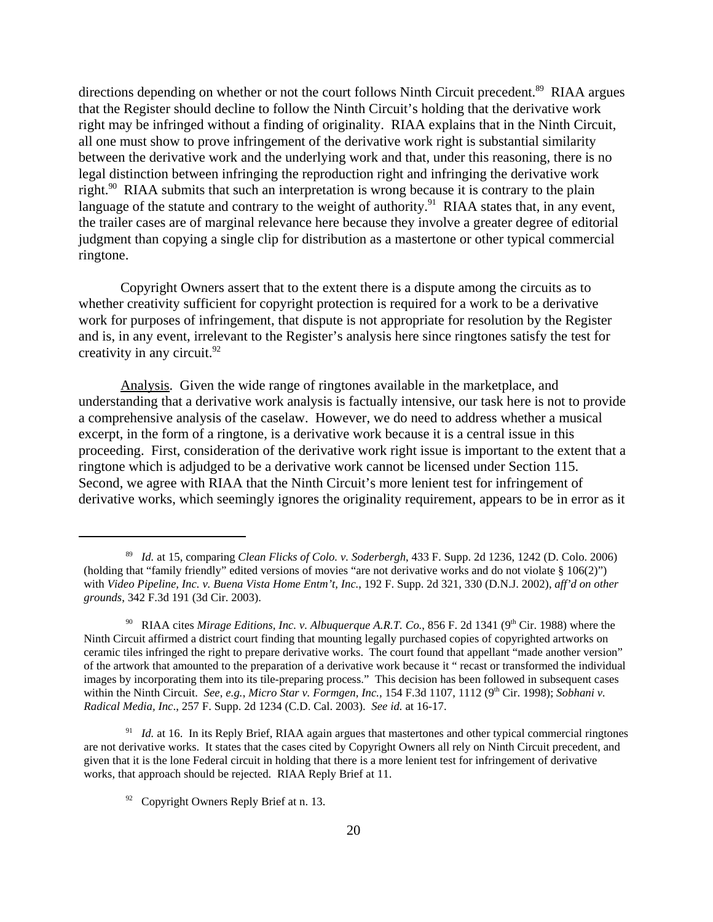directions depending on whether or not the court follows Ninth Circuit precedent.<sup>89</sup> RIAA argues that the Register should decline to follow the Ninth Circuit's holding that the derivative work right may be infringed without a finding of originality. RIAA explains that in the Ninth Circuit, all one must show to prove infringement of the derivative work right is substantial similarity between the derivative work and the underlying work and that, under this reasoning, there is no legal distinction between infringing the reproduction right and infringing the derivative work right.<sup>90</sup> RIAA submits that such an interpretation is wrong because it is contrary to the plain language of the statute and contrary to the weight of authority.<sup>91</sup> RIAA states that, in any event, the trailer cases are of marginal relevance here because they involve a greater degree of editorial judgment than copying a single clip for distribution as a mastertone or other typical commercial ringtone.

Copyright Owners assert that to the extent there is a dispute among the circuits as to whether creativity sufficient for copyright protection is required for a work to be a derivative work for purposes of infringement, that dispute is not appropriate for resolution by the Register and is, in any event, irrelevant to the Register's analysis here since ringtones satisfy the test for creativity in any circuit. $92$ 

Analysis. Given the wide range of ringtones available in the marketplace, and understanding that a derivative work analysis is factually intensive, our task here is not to provide a comprehensive analysis of the caselaw. However, we do need to address whether a musical excerpt, in the form of a ringtone, is a derivative work because it is a central issue in this proceeding. First, consideration of the derivative work right issue is important to the extent that a ringtone which is adjudged to be a derivative work cannot be licensed under Section 115. Second, we agree with RIAA that the Ninth Circuit's more lenient test for infringement of derivative works, which seemingly ignores the originality requirement, appears to be in error as it

<sup>89</sup> *Id.* at 15, comparing *Clean Flicks of Colo. v. Soderbergh*, 433 F. Supp. 2d 1236, 1242 (D. Colo. 2006) (holding that "family friendly" edited versions of movies "are not derivative works and do not violate § 106(2)") with *Video Pipeline, Inc. v. Buena Vista Home Entm't, Inc.*, 192 F. Supp. 2d 321, 330 (D.N.J. 2002), *aff'd on other grounds*, 342 F.3d 191 (3d Cir. 2003).

<sup>&</sup>lt;sup>90</sup> RIAA cites *Mirage Editions, Inc. v. Albuquerque A.R.T. Co.*, 856 F. 2d 1341 (9<sup>th</sup> Cir. 1988) where the Ninth Circuit affirmed a district court finding that mounting legally purchased copies of copyrighted artworks on ceramic tiles infringed the right to prepare derivative works. The court found that appellant "made another version" of the artwork that amounted to the preparation of a derivative work because it " recast or transformed the individual images by incorporating them into its tile-preparing process." This decision has been followed in subsequent cases within the Ninth Circuit. *See, e.g., Micro Star v. Formgen, Inc.,* 154 F.3d 1107, 1112 (9<sup>th</sup> Cir. 1998); *Sobhani v. Radical Media, Inc*., 257 F. Supp. 2d 1234 (C.D. Cal. 2003). *See id.* at 16-17.

<sup>&</sup>lt;sup>91</sup> *Id.* at 16. In its Reply Brief, RIAA again argues that mastertones and other typical commercial ringtones are not derivative works. It states that the cases cited by Copyright Owners all rely on Ninth Circuit precedent, and given that it is the lone Federal circuit in holding that there is a more lenient test for infringement of derivative works, that approach should be rejected. RIAA Reply Brief at 11.

 $92$  Copyright Owners Reply Brief at n. 13.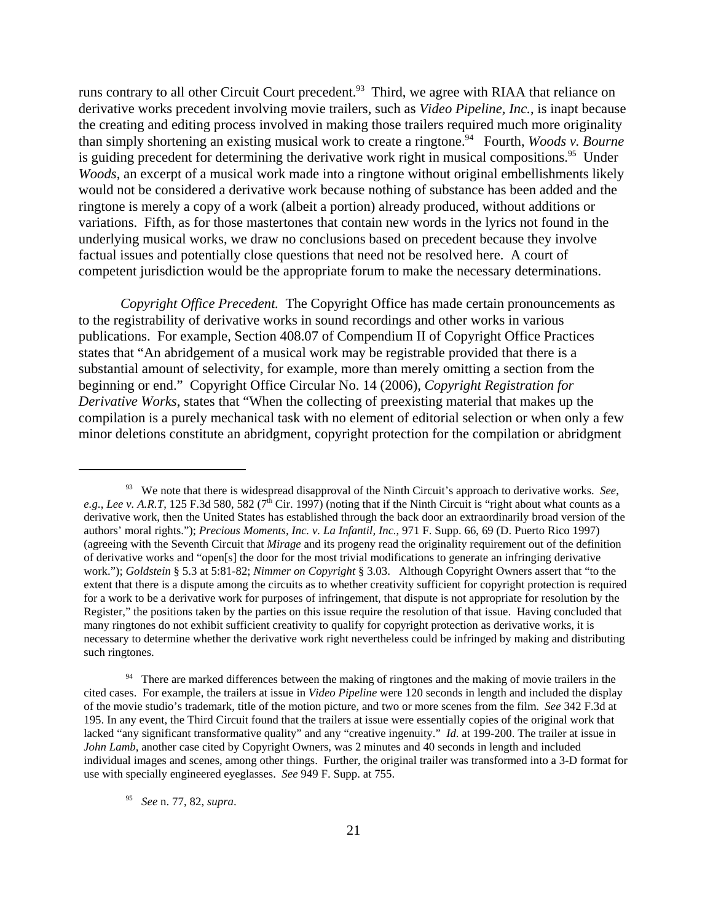runs contrary to all other Circuit Court precedent.<sup>93</sup> Third, we agree with RIAA that reliance on derivative works precedent involving movie trailers, such as *Video Pipeline, Inc.*, is inapt because the creating and editing process involved in making those trailers required much more originality than simply shortening an existing musical work to create a ringtone.94 Fourth, *Woods v. Bourne* is guiding precedent for determining the derivative work right in musical compositions.<sup>95</sup> Under *Woods*, an excerpt of a musical work made into a ringtone without original embellishments likely would not be considered a derivative work because nothing of substance has been added and the ringtone is merely a copy of a work (albeit a portion) already produced, without additions or variations. Fifth, as for those mastertones that contain new words in the lyrics not found in the underlying musical works, we draw no conclusions based on precedent because they involve factual issues and potentially close questions that need not be resolved here. A court of competent jurisdiction would be the appropriate forum to make the necessary determinations.

*Copyright Office Precedent.* The Copyright Office has made certain pronouncements as to the registrability of derivative works in sound recordings and other works in various publications. For example, Section 408.07 of Compendium II of Copyright Office Practices states that "An abridgement of a musical work may be registrable provided that there is a substantial amount of selectivity, for example, more than merely omitting a section from the beginning or end." Copyright Office Circular No. 14 (2006), *Copyright Registration for Derivative Works*, states that "When the collecting of preexisting material that makes up the compilation is a purely mechanical task with no element of editorial selection or when only a few minor deletions constitute an abridgment, copyright protection for the compilation or abridgment

<sup>93</sup> We note that there is widespread disapproval of the Ninth Circuit's approach to derivative works. *See*, *e.g., Lee v. A.R.T,* 125 F.3d 580, 582 (7<sup>th</sup> Cir. 1997) (noting that if the Ninth Circuit is "right about what counts as a derivative work, then the United States has established through the back door an extraordinarily broad version of the authors' moral rights."); *Precious Moments, Inc. v. La Infantil, Inc.*, 971 F. Supp. 66, 69 (D. Puerto Rico 1997) (agreeing with the Seventh Circuit that *Mirage* and its progeny read the originality requirement out of the definition of derivative works and "open[s] the door for the most trivial modifications to generate an infringing derivative work."); *Goldstein* § 5.3 at 5:81-82; *Nimmer on Copyright* § 3.03. Although Copyright Owners assert that "to the extent that there is a dispute among the circuits as to whether creativity sufficient for copyright protection is required for a work to be a derivative work for purposes of infringement, that dispute is not appropriate for resolution by the Register," the positions taken by the parties on this issue require the resolution of that issue. Having concluded that many ringtones do not exhibit sufficient creativity to qualify for copyright protection as derivative works, it is necessary to determine whether the derivative work right nevertheless could be infringed by making and distributing such ringtones.

<sup>&</sup>lt;sup>94</sup> There are marked differences between the making of ringtones and the making of movie trailers in the cited cases. For example, the trailers at issue in *Video Pipeline* were 120 seconds in length and included the display of the movie studio's trademark, title of the motion picture, and two or more scenes from the film. *See* 342 F.3d at 195. In any event, the Third Circuit found that the trailers at issue were essentially copies of the original work that lacked "any significant transformative quality" and any "creative ingenuity." *Id*. at 199-200. The trailer at issue in *John Lamb*, another case cited by Copyright Owners, was 2 minutes and 40 seconds in length and included individual images and scenes, among other things. Further, the original trailer was transformed into a 3-D format for use with specially engineered eyeglasses. *See* 949 F. Supp. at 755.

<sup>95</sup> *See* n. 77, 82, *supra*.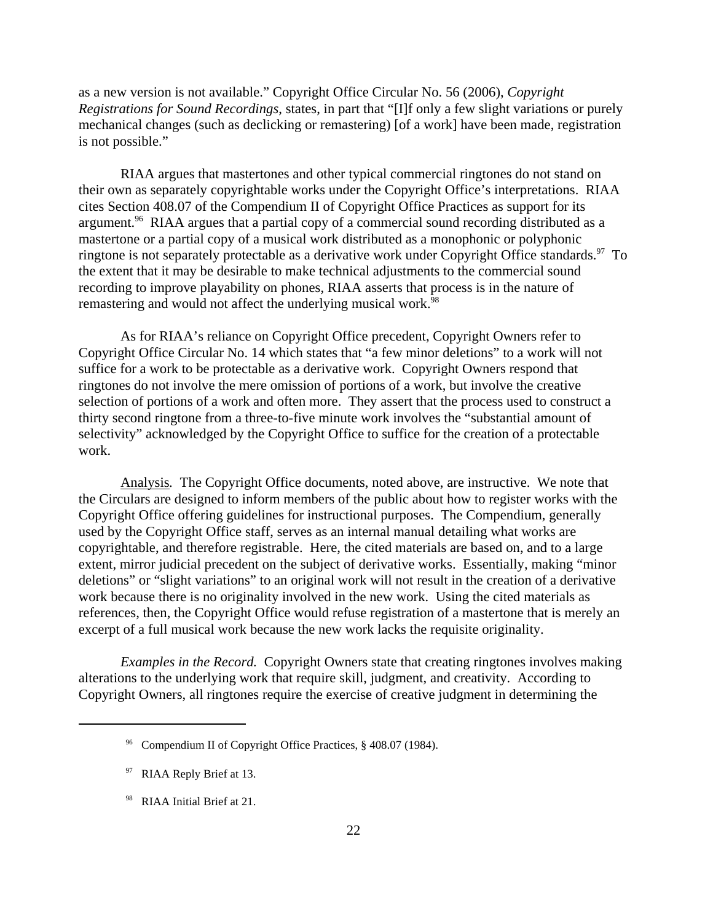as a new version is not available." Copyright Office Circular No. 56 (2006), *Copyright Registrations for Sound Recordings*, states, in part that "[I]f only a few slight variations or purely mechanical changes (such as declicking or remastering) [of a work] have been made, registration is not possible."

RIAA argues that mastertones and other typical commercial ringtones do not stand on their own as separately copyrightable works under the Copyright Office's interpretations. RIAA cites Section 408.07 of the Compendium II of Copyright Office Practices as support for its argument.<sup>96</sup> RIAA argues that a partial copy of a commercial sound recording distributed as a mastertone or a partial copy of a musical work distributed as a monophonic or polyphonic ringtone is not separately protectable as a derivative work under Copyright Office standards.<sup>97</sup> To the extent that it may be desirable to make technical adjustments to the commercial sound recording to improve playability on phones, RIAA asserts that process is in the nature of remastering and would not affect the underlying musical work.<sup>98</sup>

As for RIAA's reliance on Copyright Office precedent, Copyright Owners refer to Copyright Office Circular No. 14 which states that "a few minor deletions" to a work will not suffice for a work to be protectable as a derivative work. Copyright Owners respond that ringtones do not involve the mere omission of portions of a work, but involve the creative selection of portions of a work and often more. They assert that the process used to construct a thirty second ringtone from a three-to-five minute work involves the "substantial amount of selectivity" acknowledged by the Copyright Office to suffice for the creation of a protectable work.

Analysis*.* The Copyright Office documents, noted above, are instructive.We note that the Circulars are designed to inform members of the public about how to register works with the Copyright Office offering guidelines for instructional purposes. The Compendium, generally used by the Copyright Office staff, serves as an internal manual detailing what works are copyrightable, and therefore registrable. Here, the cited materials are based on, and to a large extent, mirror judicial precedent on the subject of derivative works. Essentially, making "minor deletions" or "slight variations" to an original work will not result in the creation of a derivative work because there is no originality involved in the new work. Using the cited materials as references, then, the Copyright Office would refuse registration of a mastertone that is merely an excerpt of a full musical work because the new work lacks the requisite originality.

*Examples in the Record.* Copyright Owners state that creating ringtones involves making alterations to the underlying work that require skill, judgment, and creativity. According to Copyright Owners, all ringtones require the exercise of creative judgment in determining the

<sup>96</sup> Compendium II of Copyright Office Practices, § 408.07 (1984).

<sup>&</sup>lt;sup>97</sup> RIAA Reply Brief at 13.

<sup>98</sup> RIAA Initial Brief at 21.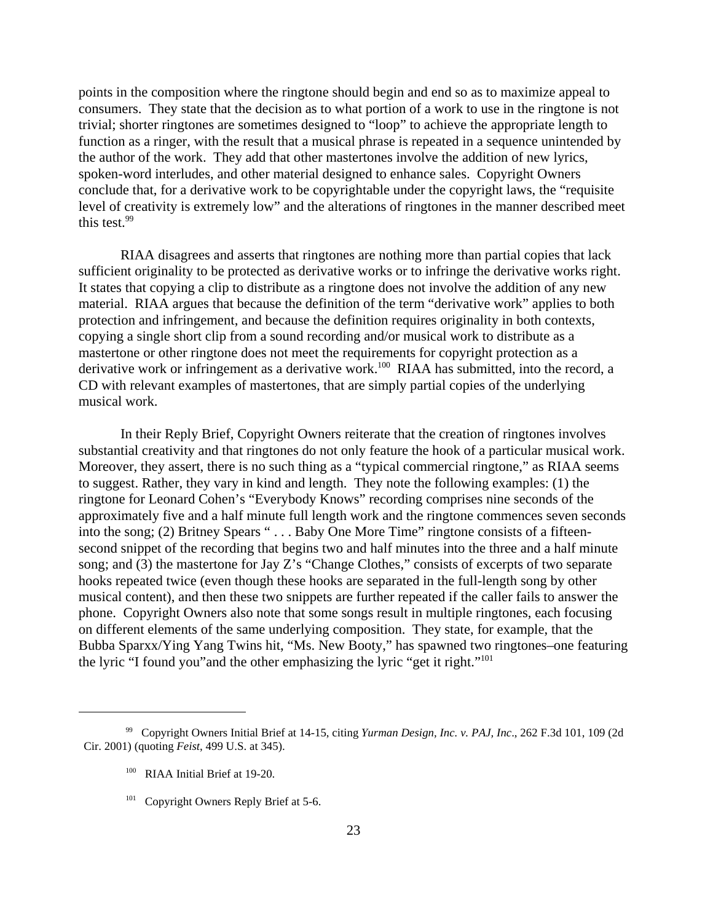points in the composition where the ringtone should begin and end so as to maximize appeal to consumers. They state that the decision as to what portion of a work to use in the ringtone is not trivial; shorter ringtones are sometimes designed to "loop" to achieve the appropriate length to function as a ringer, with the result that a musical phrase is repeated in a sequence unintended by the author of the work. They add that other mastertones involve the addition of new lyrics, spoken-word interludes, and other material designed to enhance sales. Copyright Owners conclude that, for a derivative work to be copyrightable under the copyright laws, the "requisite level of creativity is extremely low" and the alterations of ringtones in the manner described meet this test.99

RIAA disagrees and asserts that ringtones are nothing more than partial copies that lack sufficient originality to be protected as derivative works or to infringe the derivative works right. It states that copying a clip to distribute as a ringtone does not involve the addition of any new material. RIAA argues that because the definition of the term "derivative work" applies to both protection and infringement, and because the definition requires originality in both contexts, copying a single short clip from a sound recording and/or musical work to distribute as a mastertone or other ringtone does not meet the requirements for copyright protection as a derivative work or infringement as a derivative work.<sup>100</sup> RIAA has submitted, into the record, a CD with relevant examples of mastertones, that are simply partial copies of the underlying musical work.

In their Reply Brief, Copyright Owners reiterate that the creation of ringtones involves substantial creativity and that ringtones do not only feature the hook of a particular musical work. Moreover, they assert, there is no such thing as a "typical commercial ringtone," as RIAA seems to suggest. Rather, they vary in kind and length. They note the following examples: (1) the ringtone for Leonard Cohen's "Everybody Knows" recording comprises nine seconds of the approximately five and a half minute full length work and the ringtone commences seven seconds into the song; (2) Britney Spears " . . . Baby One More Time" ringtone consists of a fifteensecond snippet of the recording that begins two and half minutes into the three and a half minute song; and (3) the mastertone for Jay Z's "Change Clothes," consists of excerpts of two separate hooks repeated twice (even though these hooks are separated in the full-length song by other musical content), and then these two snippets are further repeated if the caller fails to answer the phone. Copyright Owners also note that some songs result in multiple ringtones, each focusing on different elements of the same underlying composition. They state, for example, that the Bubba Sparxx/Ying Yang Twins hit, "Ms. New Booty," has spawned two ringtones–one featuring the lyric "I found you"and the other emphasizing the lyric "get it right."101

<sup>99</sup> Copyright Owners Initial Brief at 14-15, citing *Yurman Design, Inc. v. PAJ, Inc*., 262 F.3d 101, 109 (2d Cir. 2001) (quoting *Feist*, 499 U.S. at 345).

<sup>100</sup> RIAA Initial Brief at 19-20.

<sup>&</sup>lt;sup>101</sup> Copyright Owners Reply Brief at 5-6.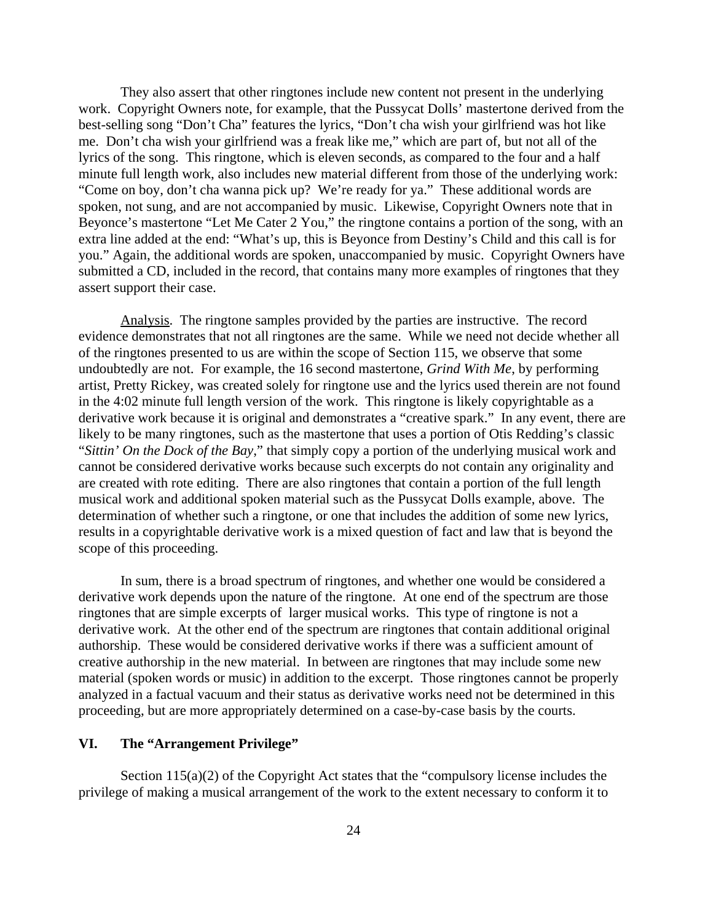They also assert that other ringtones include new content not present in the underlying work. Copyright Owners note, for example, that the Pussycat Dolls' mastertone derived from the best-selling song "Don't Cha" features the lyrics, "Don't cha wish your girlfriend was hot like me. Don't cha wish your girlfriend was a freak like me," which are part of, but not all of the lyrics of the song. This ringtone, which is eleven seconds, as compared to the four and a half minute full length work, also includes new material different from those of the underlying work: "Come on boy, don't cha wanna pick up? We're ready for ya." These additional words are spoken, not sung, and are not accompanied by music. Likewise, Copyright Owners note that in Beyonce's mastertone "Let Me Cater 2 You," the ringtone contains a portion of the song, with an extra line added at the end: "What's up, this is Beyonce from Destiny's Child and this call is for you." Again, the additional words are spoken, unaccompanied by music. Copyright Owners have submitted a CD, included in the record, that contains many more examples of ringtones that they assert support their case.

Analysis. The ringtone samples provided by the parties are instructive. The record evidence demonstrates that not all ringtones are the same. While we need not decide whether all of the ringtones presented to us are within the scope of Section 115, we observe that some undoubtedly are not. For example, the 16 second mastertone, *Grind With Me*, by performing artist, Pretty Rickey, was created solely for ringtone use and the lyrics used therein are not found in the 4:02 minute full length version of the work. This ringtone is likely copyrightable as a derivative work because it is original and demonstrates a "creative spark." In any event, there are likely to be many ringtones, such as the mastertone that uses a portion of Otis Redding's classic "*Sittin' On the Dock of the Bay*," that simply copy a portion of the underlying musical work and cannot be considered derivative works because such excerpts do not contain any originality and are created with rote editing. There are also ringtones that contain a portion of the full length musical work and additional spoken material such as the Pussycat Dolls example, above. The determination of whether such a ringtone, or one that includes the addition of some new lyrics, results in a copyrightable derivative work is a mixed question of fact and law that is beyond the scope of this proceeding.

In sum, there is a broad spectrum of ringtones, and whether one would be considered a derivative work depends upon the nature of the ringtone. At one end of the spectrum are those ringtones that are simple excerpts of larger musical works. This type of ringtone is not a derivative work. At the other end of the spectrum are ringtones that contain additional original authorship. These would be considered derivative works if there was a sufficient amount of creative authorship in the new material. In between are ringtones that may include some new material (spoken words or music) in addition to the excerpt. Those ringtones cannot be properly analyzed in a factual vacuum and their status as derivative works need not be determined in this proceeding, but are more appropriately determined on a case-by-case basis by the courts.

## **VI. The "Arrangement Privilege"**

Section 115(a)(2) of the Copyright Act states that the "compulsory license includes the privilege of making a musical arrangement of the work to the extent necessary to conform it to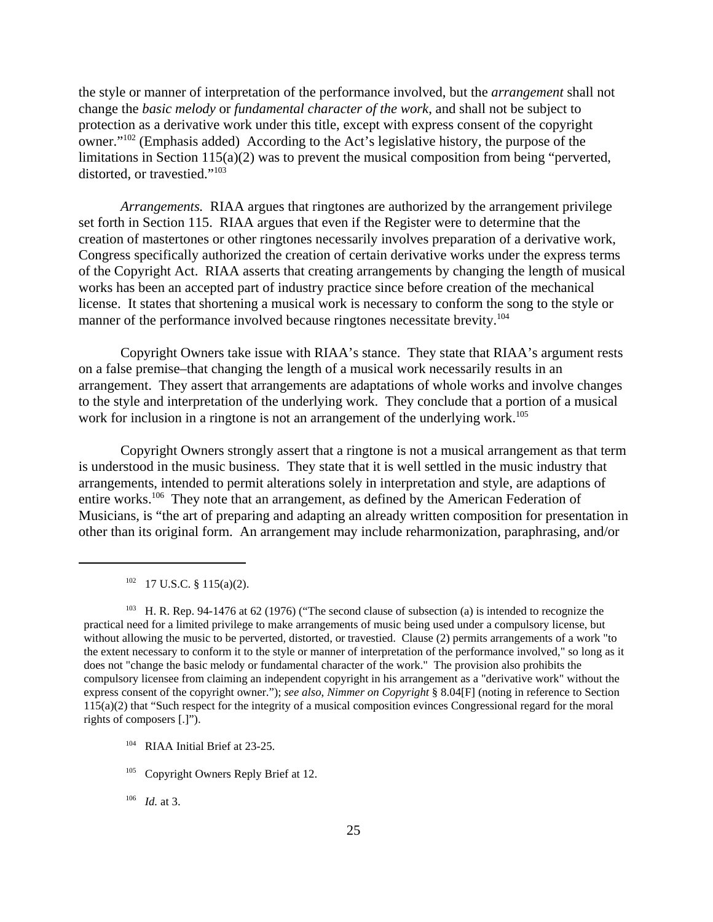the style or manner of interpretation of the performance involved, but the *arrangement* shall not change the *basic melody* or *fundamental character of the work*, and shall not be subject to protection as a derivative work under this title, except with express consent of the copyright owner."102 (Emphasis added) According to the Act's legislative history, the purpose of the limitations in Section 115(a)(2) was to prevent the musical composition from being "perverted, distorted, or travestied."<sup>103</sup>

*Arrangements.* RIAA argues that ringtones are authorized by the arrangement privilege set forth in Section 115. RIAA argues that even if the Register were to determine that the creation of mastertones or other ringtones necessarily involves preparation of a derivative work, Congress specifically authorized the creation of certain derivative works under the express terms of the Copyright Act. RIAA asserts that creating arrangements by changing the length of musical works has been an accepted part of industry practice since before creation of the mechanical license. It states that shortening a musical work is necessary to conform the song to the style or manner of the performance involved because ringtones necessitate brevity.<sup>104</sup>

Copyright Owners take issue with RIAA's stance. They state that RIAA's argument rests on a false premise–that changing the length of a musical work necessarily results in an arrangement. They assert that arrangements are adaptations of whole works and involve changes to the style and interpretation of the underlying work. They conclude that a portion of a musical work for inclusion in a ringtone is not an arrangement of the underlying work.<sup>105</sup>

Copyright Owners strongly assert that a ringtone is not a musical arrangement as that term is understood in the music business. They state that it is well settled in the music industry that arrangements, intended to permit alterations solely in interpretation and style, are adaptions of entire works.<sup>106</sup> They note that an arrangement, as defined by the American Federation of Musicians, is "the art of preparing and adapting an already written composition for presentation in other than its original form. An arrangement may include reharmonization, paraphrasing, and/or

 $102$  17 U.S.C. § 115(a)(2).

<sup>103</sup> H. R. Rep. 94-1476 at 62 (1976) ("The second clause of subsection (a) is intended to recognize the practical need for a limited privilege to make arrangements of music being used under a compulsory license, but without allowing the music to be perverted, distorted, or travestied. Clause (2) permits arrangements of a work "to the extent necessary to conform it to the style or manner of interpretation of the performance involved," so long as it does not "change the basic melody or fundamental character of the work." The provision also prohibits the compulsory licensee from claiming an independent copyright in his arrangement as a "derivative work" without the express consent of the copyright owner."); *see also*, *Nimmer on Copyright* § 8.04[F] (noting in reference to Section 115(a)(2) that "Such respect for the integrity of a musical composition evinces Congressional regard for the moral rights of composers [.]").

- 104 RIAA Initial Brief at 23-25.
- <sup>105</sup> Copyright Owners Reply Brief at 12.
- 106 *Id.* at 3.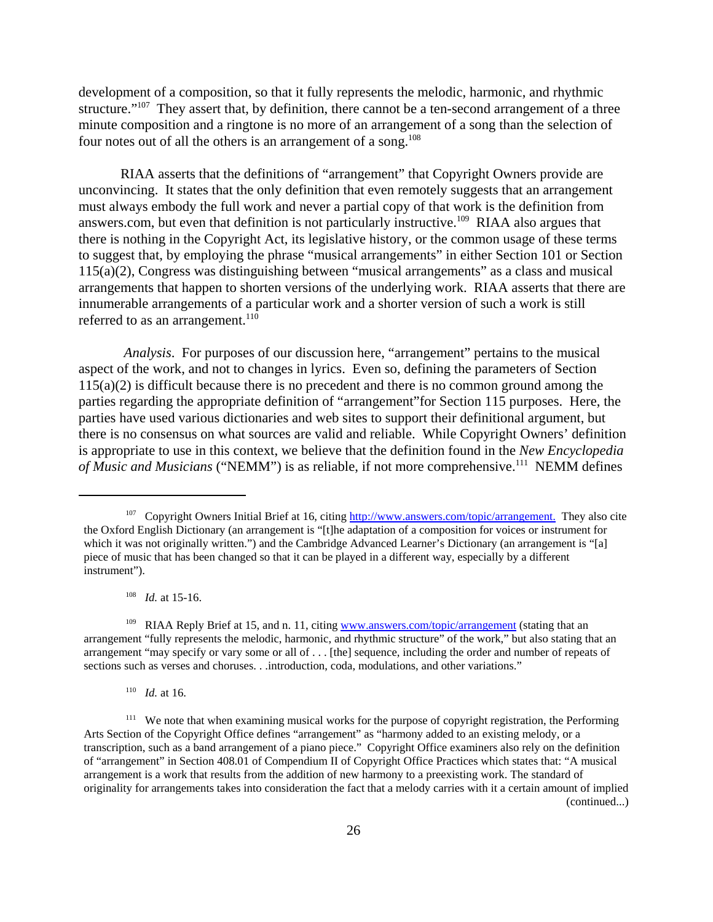development of a composition, so that it fully represents the melodic, harmonic, and rhythmic structure." $107$  They assert that, by definition, there cannot be a ten-second arrangement of a three minute composition and a ringtone is no more of an arrangement of a song than the selection of four notes out of all the others is an arrangement of a song.<sup>108</sup>

RIAA asserts that the definitions of "arrangement" that Copyright Owners provide are unconvincing. It states that the only definition that even remotely suggests that an arrangement must always embody the full work and never a partial copy of that work is the definition from answers.com, but even that definition is not particularly instructive.109 RIAA also argues that there is nothing in the Copyright Act, its legislative history, or the common usage of these terms to suggest that, by employing the phrase "musical arrangements" in either Section 101 or Section 115(a)(2), Congress was distinguishing between "musical arrangements" as a class and musical arrangements that happen to shorten versions of the underlying work. RIAA asserts that there are innumerable arrangements of a particular work and a shorter version of such a work is still referred to as an arrangement.<sup>110</sup>

*Analysis*. For purposes of our discussion here, "arrangement" pertains to the musical aspect of the work, and not to changes in lyrics. Even so, defining the parameters of Section  $115(a)(2)$  is difficult because there is no precedent and there is no common ground among the parties regarding the appropriate definition of "arrangement"for Section 115 purposes. Here, the parties have used various dictionaries and web sites to support their definitional argument, but there is no consensus on what sources are valid and reliable. While Copyright Owners' definition is appropriate to use in this context, we believe that the definition found in the *New Encyclopedia of Music and Musicians* ("NEMM") is as reliable, if not more comprehensive.<sup>111</sup> NEMM defines

<sup>&</sup>lt;sup>107</sup> Copyright Owners Initial Brief at 16, citing http://www.answers.com/topic/arrangement. They also cite the Oxford English Dictionary (an arrangement is "[t]he adaptation of a composition for voices or instrument for which it was not originally written.") and the Cambridge Advanced Learner's Dictionary (an arrangement is "[a] piece of music that has been changed so that it can be played in a different way, especially by a different instrument").

<sup>108</sup> *Id.* at 15-16.

<sup>&</sup>lt;sup>109</sup> RIAA Reply Brief at 15, and n. 11, citing www.answers.com/topic/arrangement (stating that an arrangement "fully represents the melodic, harmonic, and rhythmic structure" of the work," but also stating that an arrangement "may specify or vary some or all of . . . [the] sequence, including the order and number of repeats of sections such as verses and choruses. . .introduction, coda, modulations, and other variations."

<sup>110</sup> *Id.* at 16.

<sup>&</sup>lt;sup>111</sup> We note that when examining musical works for the purpose of copyright registration, the Performing Arts Section of the Copyright Office defines "arrangement" as "harmony added to an existing melody, or a transcription, such as a band arrangement of a piano piece." Copyright Office examiners also rely on the definition of "arrangement" in Section 408.01 of Compendium II of Copyright Office Practices which states that: "A musical arrangement is a work that results from the addition of new harmony to a preexisting work. The standard of originality for arrangements takes into consideration the fact that a melody carries with it a certain amount of implied (continued...)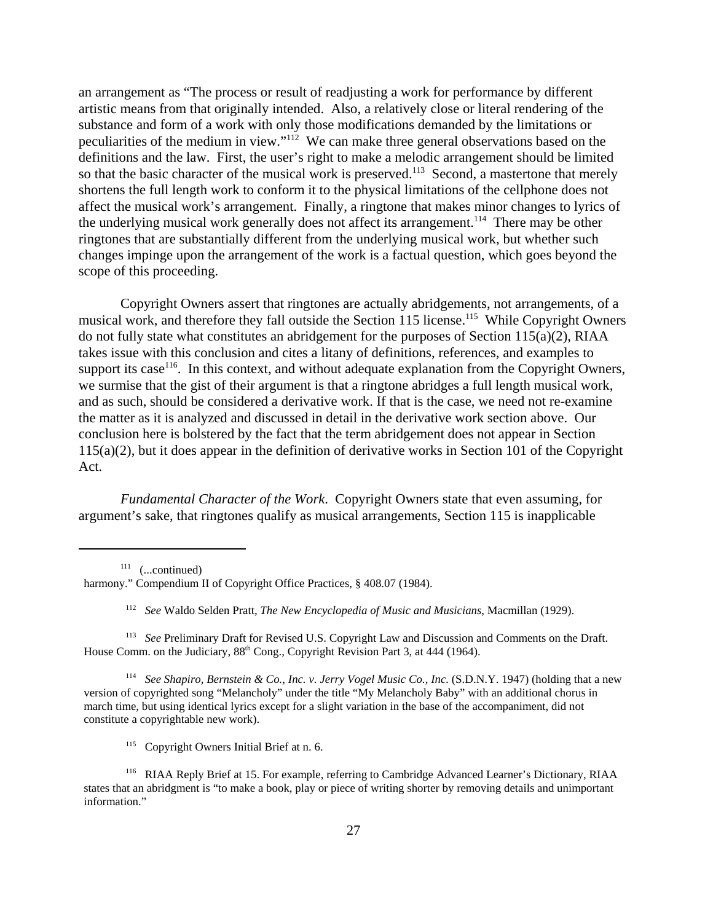an arrangement as "The process or result of readjusting a work for performance by different artistic means from that originally intended. Also, a relatively close or literal rendering of the substance and form of a work with only those modifications demanded by the limitations or peculiarities of the medium in view."112 We can make three general observations based on the definitions and the law. First, the user's right to make a melodic arrangement should be limited so that the basic character of the musical work is preserved.<sup>113</sup> Second, a mastertone that merely shortens the full length work to conform it to the physical limitations of the cellphone does not affect the musical work's arrangement. Finally, a ringtone that makes minor changes to lyrics of the underlying musical work generally does not affect its arrangement.<sup>114</sup> There may be other ringtones that are substantially different from the underlying musical work, but whether such changes impinge upon the arrangement of the work is a factual question, which goes beyond the scope of this proceeding.

Copyright Owners assert that ringtones are actually abridgements, not arrangements, of a musical work, and therefore they fall outside the Section 115 license.<sup>115</sup> While Copyright Owners do not fully state what constitutes an abridgement for the purposes of Section 115(a)(2), RIAA takes issue with this conclusion and cites a litany of definitions, references, and examples to support its case<sup>116</sup>. In this context, and without adequate explanation from the Copyright Owners, we surmise that the gist of their argument is that a ringtone abridges a full length musical work, and as such, should be considered a derivative work. If that is the case, we need not re-examine the matter as it is analyzed and discussed in detail in the derivative work section above. Our conclusion here is bolstered by the fact that the term abridgement does not appear in Section 115(a)(2), but it does appear in the definition of derivative works in Section 101 of the Copyright Act.

*Fundamental Character of the Work*. Copyright Owners state that even assuming, for argument's sake, that ringtones qualify as musical arrangements, Section 115 is inapplicable

 $111$  (...continued)

112 *See* Waldo Selden Pratt, *The New Encyclopedia of Music and Musicians*, Macmillan (1929).

113 *See* Preliminary Draft for Revised U.S. Copyright Law and Discussion and Comments on the Draft. House Comm. on the Judiciary,  $88<sup>th</sup>$  Cong., Copyright Revision Part 3, at 444 (1964).

114 *See Shapiro, Bernstein & Co., Inc. v. Jerry Vogel Music Co., Inc.* (S.D.N.Y. 1947) (holding that a new version of copyrighted song "Melancholy" under the title "My Melancholy Baby" with an additional chorus in march time, but using identical lyrics except for a slight variation in the base of the accompaniment, did not constitute a copyrightable new work).

<sup>115</sup> Copyright Owners Initial Brief at n. 6.

harmony." Compendium II of Copyright Office Practices, § 408.07 (1984).

<sup>&</sup>lt;sup>116</sup> RIAA Reply Brief at 15. For example, referring to Cambridge Advanced Learner's Dictionary, RIAA states that an abridgment is "to make a book, play or piece of writing shorter by removing details and unimportant information."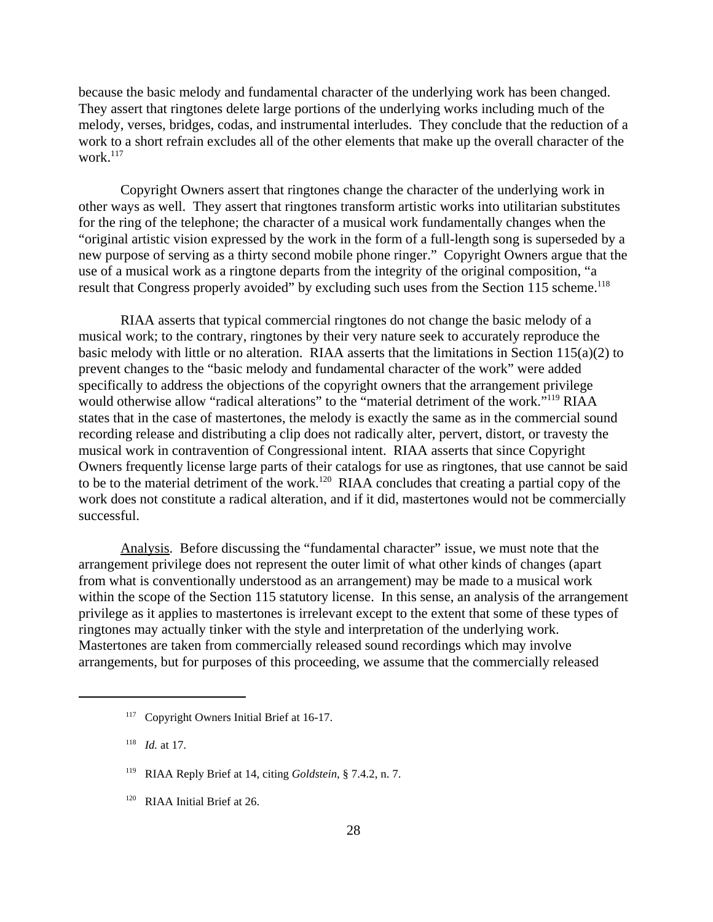because the basic melody and fundamental character of the underlying work has been changed. They assert that ringtones delete large portions of the underlying works including much of the melody, verses, bridges, codas, and instrumental interludes. They conclude that the reduction of a work to a short refrain excludes all of the other elements that make up the overall character of the work. $117$ 

Copyright Owners assert that ringtones change the character of the underlying work in other ways as well. They assert that ringtones transform artistic works into utilitarian substitutes for the ring of the telephone; the character of a musical work fundamentally changes when the "original artistic vision expressed by the work in the form of a full-length song is superseded by a new purpose of serving as a thirty second mobile phone ringer." Copyright Owners argue that the use of a musical work as a ringtone departs from the integrity of the original composition, "a result that Congress properly avoided" by excluding such uses from the Section 115 scheme.<sup>118</sup>

RIAA asserts that typical commercial ringtones do not change the basic melody of a musical work; to the contrary, ringtones by their very nature seek to accurately reproduce the basic melody with little or no alteration. RIAA asserts that the limitations in Section 115(a)(2) to prevent changes to the "basic melody and fundamental character of the work" were added specifically to address the objections of the copyright owners that the arrangement privilege would otherwise allow "radical alterations" to the "material detriment of the work."119 RIAA states that in the case of mastertones, the melody is exactly the same as in the commercial sound recording release and distributing a clip does not radically alter, pervert, distort, or travesty the musical work in contravention of Congressional intent. RIAA asserts that since Copyright Owners frequently license large parts of their catalogs for use as ringtones, that use cannot be said to be to the material detriment of the work.<sup>120</sup> RIAA concludes that creating a partial copy of the work does not constitute a radical alteration, and if it did, mastertones would not be commercially successful.

Analysis. Before discussing the "fundamental character" issue, we must note that the arrangement privilege does not represent the outer limit of what other kinds of changes (apart from what is conventionally understood as an arrangement) may be made to a musical work within the scope of the Section 115 statutory license. In this sense, an analysis of the arrangement privilege as it applies to mastertones is irrelevant except to the extent that some of these types of ringtones may actually tinker with the style and interpretation of the underlying work. Mastertones are taken from commercially released sound recordings which may involve arrangements, but for purposes of this proceeding, we assume that the commercially released

118 *Id.* at 17.

<sup>&</sup>lt;sup>117</sup> Copyright Owners Initial Brief at 16-17.

<sup>119</sup> RIAA Reply Brief at 14, citing *Goldstein*, § 7.4.2, n. 7.

<sup>&</sup>lt;sup>120</sup> RIAA Initial Brief at 26.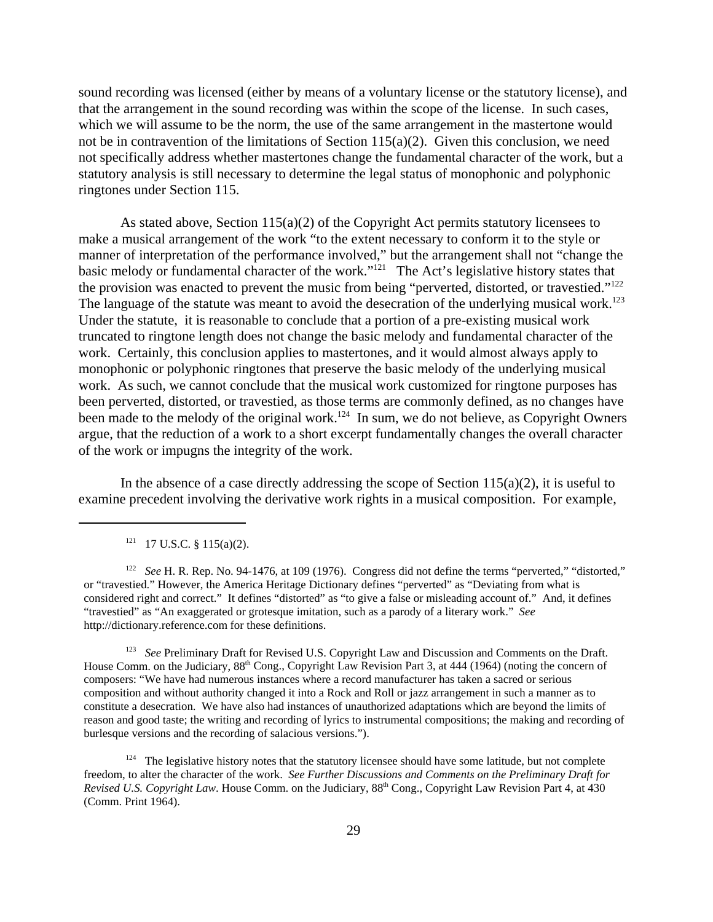sound recording was licensed (either by means of a voluntary license or the statutory license), and that the arrangement in the sound recording was within the scope of the license. In such cases, which we will assume to be the norm, the use of the same arrangement in the mastertone would not be in contravention of the limitations of Section 115(a)(2). Given this conclusion, we need not specifically address whether mastertones change the fundamental character of the work, but a statutory analysis is still necessary to determine the legal status of monophonic and polyphonic ringtones under Section 115.

As stated above, Section 115(a)(2) of the Copyright Act permits statutory licensees to make a musical arrangement of the work "to the extent necessary to conform it to the style or manner of interpretation of the performance involved," but the arrangement shall not "change the basic melody or fundamental character of the work."<sup>121</sup> The Act's legislative history states that the provision was enacted to prevent the music from being "perverted, distorted, or travestied."<sup>122</sup> The language of the statute was meant to avoid the desecration of the underlying musical work.<sup>123</sup> Under the statute, it is reasonable to conclude that a portion of a pre-existing musical work truncated to ringtone length does not change the basic melody and fundamental character of the work. Certainly, this conclusion applies to mastertones, and it would almost always apply to monophonic or polyphonic ringtones that preserve the basic melody of the underlying musical work. As such, we cannot conclude that the musical work customized for ringtone purposes has been perverted, distorted, or travestied, as those terms are commonly defined, as no changes have been made to the melody of the original work.<sup>124</sup> In sum, we do not believe, as Copyright Owners argue, that the reduction of a work to a short excerpt fundamentally changes the overall character of the work or impugns the integrity of the work.

In the absence of a case directly addressing the scope of Section  $115(a)(2)$ , it is useful to examine precedent involving the derivative work rights in a musical composition. For example,

<sup>123</sup> *See* Preliminary Draft for Revised U.S. Copyright Law and Discussion and Comments on the Draft. House Comm. on the Judiciary,  $88^{th}$  Cong., Copyright Law Revision Part 3, at 444 (1964) (noting the concern of composers: "We have had numerous instances where a record manufacturer has taken a sacred or serious composition and without authority changed it into a Rock and Roll or jazz arrangement in such a manner as to constitute a desecration. We have also had instances of unauthorized adaptations which are beyond the limits of reason and good taste; the writing and recording of lyrics to instrumental compositions; the making and recording of burlesque versions and the recording of salacious versions.").

 $124$  The legislative history notes that the statutory licensee should have some latitude, but not complete freedom, to alter the character of the work. *See Further Discussions and Comments on the Preliminary Draft for Revised U.S. Copyright Law.* House Comm. on the Judiciary,  $88<sup>th</sup>$  Cong., Copyright Law Revision Part 4, at 430 (Comm. Print 1964).

 $121$  17 U.S.C. § 115(a)(2).

<sup>122</sup> *See* H. R. Rep. No. 94-1476, at 109 (1976). Congress did not define the terms "perverted," "distorted," or "travestied." However, the America Heritage Dictionary defines "perverted" as "Deviating from what is considered right and correct." It defines "distorted" as "to give a false or misleading account of." And, it defines "travestied" as "An exaggerated or grotesque imitation, such as a parody of a literary work." *See* http://dictionary.reference.com for these definitions.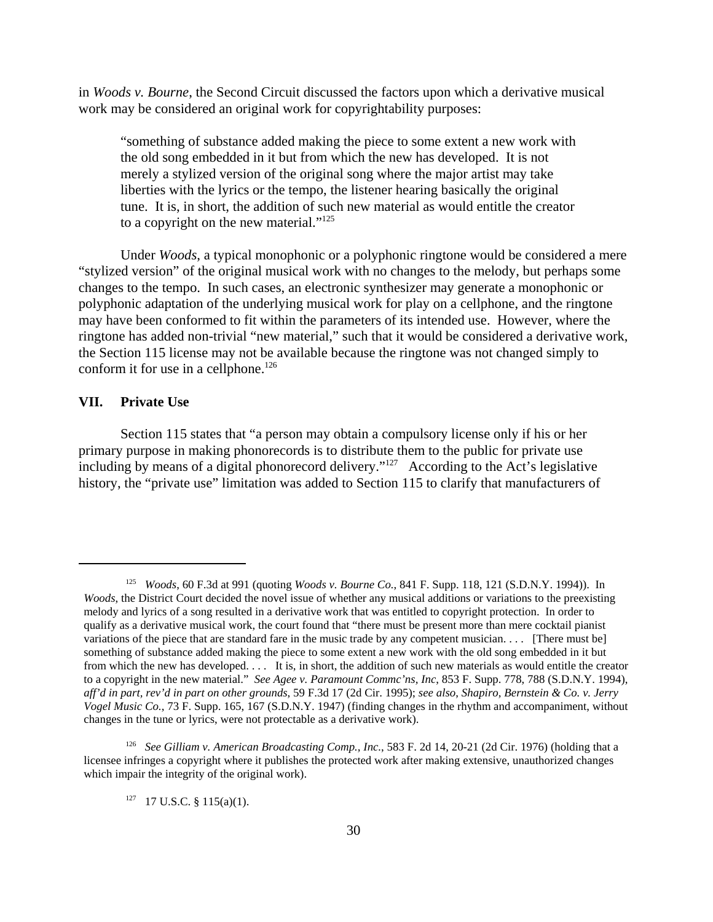in *Woods v. Bourne*, the Second Circuit discussed the factors upon which a derivative musical work may be considered an original work for copyrightability purposes:

"something of substance added making the piece to some extent a new work with the old song embedded in it but from which the new has developed. It is not merely a stylized version of the original song where the major artist may take liberties with the lyrics or the tempo, the listener hearing basically the original tune. It is, in short, the addition of such new material as would entitle the creator to a copyright on the new material."125

Under *Woods*, a typical monophonic or a polyphonic ringtone would be considered a mere "stylized version" of the original musical work with no changes to the melody, but perhaps some changes to the tempo. In such cases, an electronic synthesizer may generate a monophonic or polyphonic adaptation of the underlying musical work for play on a cellphone, and the ringtone may have been conformed to fit within the parameters of its intended use. However, where the ringtone has added non-trivial "new material," such that it would be considered a derivative work, the Section 115 license may not be available because the ringtone was not changed simply to conform it for use in a cellphone.<sup>126</sup>

### **VII. Private Use**

Section 115 states that "a person may obtain a compulsory license only if his or her primary purpose in making phonorecords is to distribute them to the public for private use including by means of a digital phonorecord delivery."<sup>127</sup> According to the Act's legislative history, the "private use" limitation was added to Section 115 to clarify that manufacturers of

<sup>125</sup> *Woods*, 60 F.3d at 991 (quoting *Woods v. Bourne Co.*, 841 F. Supp. 118, 121 (S.D.N.Y. 1994)). In *Woods*, the District Court decided the novel issue of whether any musical additions or variations to the preexisting melody and lyrics of a song resulted in a derivative work that was entitled to copyright protection. In order to qualify as a derivative musical work, the court found that "there must be present more than mere cocktail pianist variations of the piece that are standard fare in the music trade by any competent musician. . . . [There must be] something of substance added making the piece to some extent a new work with the old song embedded in it but from which the new has developed. . . . It is, in short, the addition of such new materials as would entitle the creator to a copyright in the new material." *See Agee v. Paramount Commc'ns, Inc*, 853 F. Supp. 778, 788 (S.D.N.Y. 1994), *aff'd in part, rev'd in part on other grounds*, 59 F.3d 17 (2d Cir. 1995); *see also*, *Shapiro, Bernstein & Co. v. Jerry Vogel Music Co.*, 73 F. Supp. 165, 167 (S.D.N.Y. 1947) (finding changes in the rhythm and accompaniment, without changes in the tune or lyrics, were not protectable as a derivative work).

<sup>126</sup> *See Gilliam v. American Broadcasting Comp., Inc.*, 583 F. 2d 14, 20-21 (2d Cir. 1976) (holding that a licensee infringes a copyright where it publishes the protected work after making extensive, unauthorized changes which impair the integrity of the original work).

 $127$  17 U.S.C. § 115(a)(1).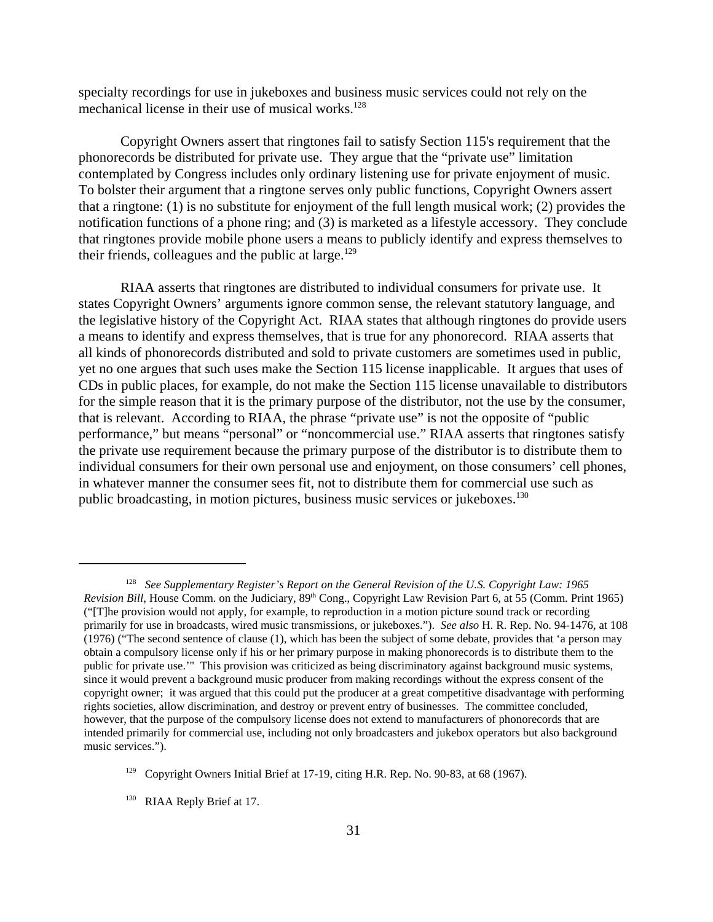specialty recordings for use in jukeboxes and business music services could not rely on the mechanical license in their use of musical works.<sup>128</sup>

Copyright Owners assert that ringtones fail to satisfy Section 115's requirement that the phonorecords be distributed for private use. They argue that the "private use" limitation contemplated by Congress includes only ordinary listening use for private enjoyment of music. To bolster their argument that a ringtone serves only public functions, Copyright Owners assert that a ringtone: (1) is no substitute for enjoyment of the full length musical work; (2) provides the notification functions of a phone ring; and (3) is marketed as a lifestyle accessory. They conclude that ringtones provide mobile phone users a means to publicly identify and express themselves to their friends, colleagues and the public at large.<sup>129</sup>

RIAA asserts that ringtones are distributed to individual consumers for private use. It states Copyright Owners' arguments ignore common sense, the relevant statutory language, and the legislative history of the Copyright Act. RIAA states that although ringtones do provide users a means to identify and express themselves, that is true for any phonorecord. RIAA asserts that all kinds of phonorecords distributed and sold to private customers are sometimes used in public, yet no one argues that such uses make the Section 115 license inapplicable. It argues that uses of CDs in public places, for example, do not make the Section 115 license unavailable to distributors for the simple reason that it is the primary purpose of the distributor, not the use by the consumer, that is relevant. According to RIAA, the phrase "private use" is not the opposite of "public performance," but means "personal" or "noncommercial use." RIAA asserts that ringtones satisfy the private use requirement because the primary purpose of the distributor is to distribute them to individual consumers for their own personal use and enjoyment, on those consumers' cell phones, in whatever manner the consumer sees fit, not to distribute them for commercial use such as public broadcasting, in motion pictures, business music services or jukeboxes.<sup>130</sup>

<sup>128</sup> *See Supplementary Register's Report on the General Revision of the U.S. Copyright Law: 1965 Revision Bill*, House Comm. on the Judiciary, 89<sup>th</sup> Cong., Copyright Law Revision Part 6, at 55 (Comm. Print 1965) ("[T]he provision would not apply, for example, to reproduction in a motion picture sound track or recording primarily for use in broadcasts, wired music transmissions, or jukeboxes."). *See also* H. R. Rep. No. 94-1476, at 108 (1976) ("The second sentence of clause (1), which has been the subject of some debate, provides that 'a person may obtain a compulsory license only if his or her primary purpose in making phonorecords is to distribute them to the public for private use.'" This provision was criticized as being discriminatory against background music systems, since it would prevent a background music producer from making recordings without the express consent of the copyright owner; it was argued that this could put the producer at a great competitive disadvantage with performing rights societies, allow discrimination, and destroy or prevent entry of businesses. The committee concluded, however, that the purpose of the compulsory license does not extend to manufacturers of phonorecords that are intended primarily for commercial use, including not only broadcasters and jukebox operators but also background music services.").

<sup>&</sup>lt;sup>129</sup> Copyright Owners Initial Brief at 17-19, citing H.R. Rep. No. 90-83, at 68 (1967).

<sup>&</sup>lt;sup>130</sup> RIAA Reply Brief at 17.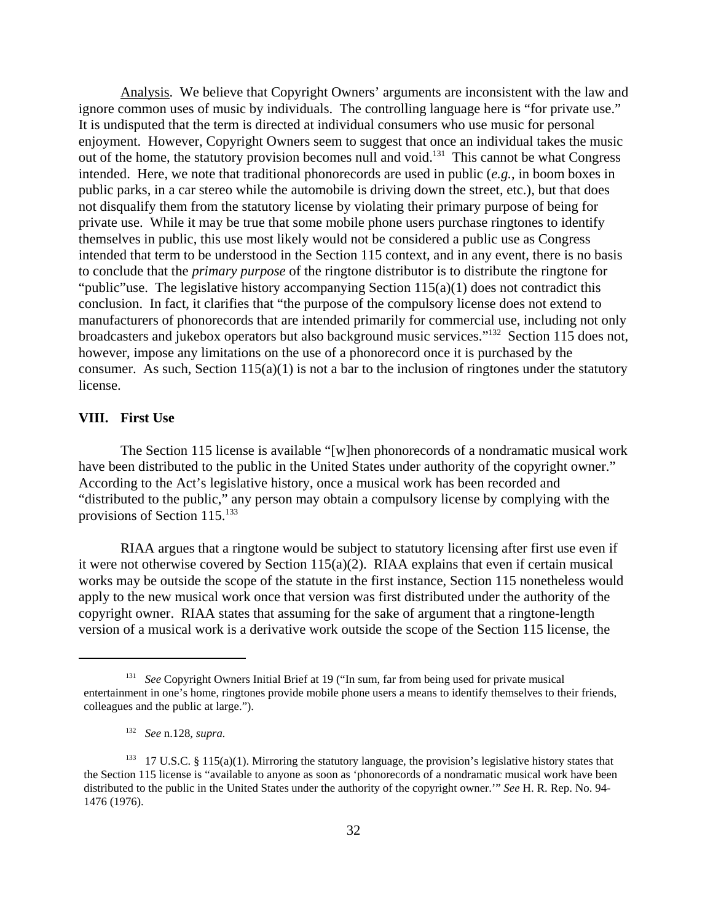Analysis. We believe that Copyright Owners' arguments are inconsistent with the law and ignore common uses of music by individuals. The controlling language here is "for private use." It is undisputed that the term is directed at individual consumers who use music for personal enjoyment. However, Copyright Owners seem to suggest that once an individual takes the music out of the home, the statutory provision becomes null and void.<sup>131</sup> This cannot be what Congress intended. Here, we note that traditional phonorecords are used in public (*e.g.*, in boom boxes in public parks, in a car stereo while the automobile is driving down the street, etc.), but that does not disqualify them from the statutory license by violating their primary purpose of being for private use. While it may be true that some mobile phone users purchase ringtones to identify themselves in public, this use most likely would not be considered a public use as Congress intended that term to be understood in the Section 115 context, and in any event, there is no basis to conclude that the *primary purpose* of the ringtone distributor is to distribute the ringtone for "public"use. The legislative history accompanying Section  $115(a)(1)$  does not contradict this conclusion. In fact, it clarifies that "the purpose of the compulsory license does not extend to manufacturers of phonorecords that are intended primarily for commercial use, including not only broadcasters and jukebox operators but also background music services."132 Section 115 does not, however, impose any limitations on the use of a phonorecord once it is purchased by the consumer. As such, Section  $115(a)(1)$  is not a bar to the inclusion of ringtones under the statutory license.

### **VIII. First Use**

The Section 115 license is available "[w]hen phonorecords of a nondramatic musical work have been distributed to the public in the United States under authority of the copyright owner." According to the Act's legislative history, once a musical work has been recorded and "distributed to the public," any person may obtain a compulsory license by complying with the provisions of Section 115.<sup>133</sup>

RIAA argues that a ringtone would be subject to statutory licensing after first use even if it were not otherwise covered by Section 115(a)(2). RIAA explains that even if certain musical works may be outside the scope of the statute in the first instance, Section 115 nonetheless would apply to the new musical work once that version was first distributed under the authority of the copyright owner. RIAA states that assuming for the sake of argument that a ringtone-length version of a musical work is a derivative work outside the scope of the Section 115 license, the

<sup>&</sup>lt;sup>131</sup> *See* Copyright Owners Initial Brief at 19 ("In sum, far from being used for private musical entertainment in one's home, ringtones provide mobile phone users a means to identify themselves to their friends, colleagues and the public at large.").

<sup>132</sup> *See* n.128, *supra.*

<sup>&</sup>lt;sup>133</sup> 17 U.S.C. § 115(a)(1). Mirroring the statutory language, the provision's legislative history states that the Section 115 license is "available to anyone as soon as 'phonorecords of a nondramatic musical work have been distributed to the public in the United States under the authority of the copyright owner.'" *See* H. R. Rep. No. 94- 1476 (1976).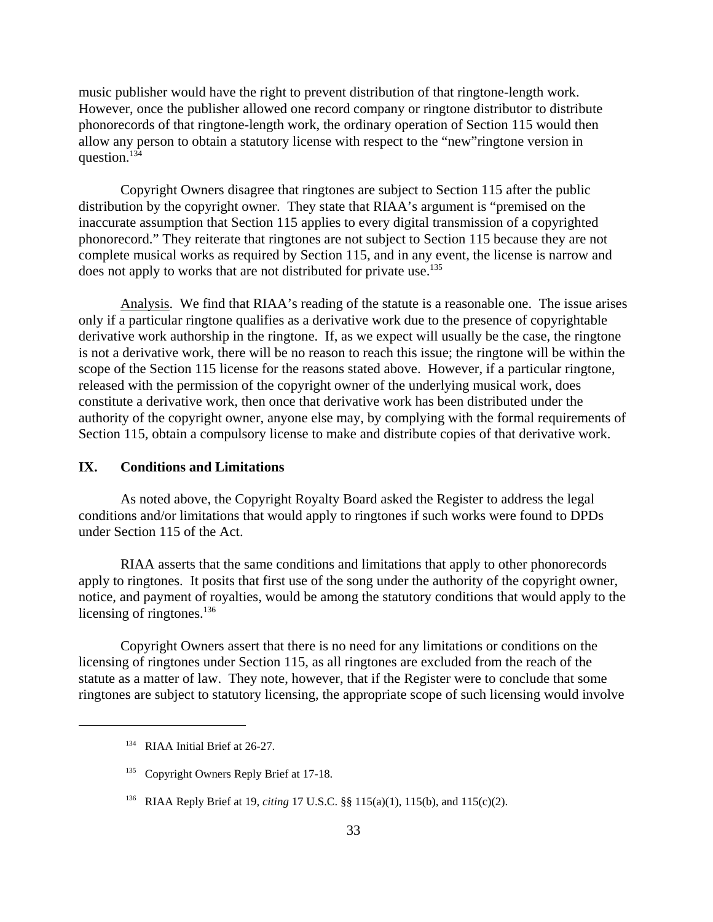music publisher would have the right to prevent distribution of that ringtone-length work. However, once the publisher allowed one record company or ringtone distributor to distribute phonorecords of that ringtone-length work, the ordinary operation of Section 115 would then allow any person to obtain a statutory license with respect to the "new"ringtone version in question. $134$ 

Copyright Owners disagree that ringtones are subject to Section 115 after the public distribution by the copyright owner. They state that RIAA's argument is "premised on the inaccurate assumption that Section 115 applies to every digital transmission of a copyrighted phonorecord." They reiterate that ringtones are not subject to Section 115 because they are not complete musical works as required by Section 115, and in any event, the license is narrow and does not apply to works that are not distributed for private use.<sup>135</sup>

Analysis. We find that RIAA's reading of the statute is a reasonable one. The issue arises only if a particular ringtone qualifies as a derivative work due to the presence of copyrightable derivative work authorship in the ringtone. If, as we expect will usually be the case, the ringtone is not a derivative work, there will be no reason to reach this issue; the ringtone will be within the scope of the Section 115 license for the reasons stated above. However, if a particular ringtone, released with the permission of the copyright owner of the underlying musical work, does constitute a derivative work, then once that derivative work has been distributed under the authority of the copyright owner, anyone else may, by complying with the formal requirements of Section 115, obtain a compulsory license to make and distribute copies of that derivative work.

## **IX. Conditions and Limitations**

As noted above, the Copyright Royalty Board asked the Register to address the legal conditions and/or limitations that would apply to ringtones if such works were found to DPDs under Section 115 of the Act.

RIAA asserts that the same conditions and limitations that apply to other phonorecords apply to ringtones. It posits that first use of the song under the authority of the copyright owner, notice, and payment of royalties, would be among the statutory conditions that would apply to the licensing of ringtones. $^{136}$ 

Copyright Owners assert that there is no need for any limitations or conditions on the licensing of ringtones under Section 115, as all ringtones are excluded from the reach of the statute as a matter of law. They note, however, that if the Register were to conclude that some ringtones are subject to statutory licensing, the appropriate scope of such licensing would involve

<sup>&</sup>lt;sup>134</sup> RIAA Initial Brief at 26-27.

<sup>&</sup>lt;sup>135</sup> Copyright Owners Reply Brief at 17-18.

<sup>136</sup> RIAA Reply Brief at 19, *citing* 17 U.S.C. §§ 115(a)(1), 115(b), and 115(c)(2).